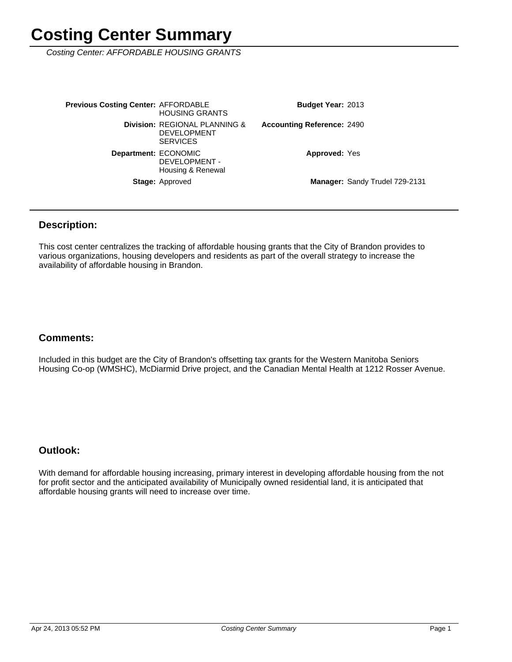Costing Center: AFFORDABLE HOUSING GRANTS

Manager: Sandy Trudel 729-2131 **Approved: Yes Accounting Reference: 2490** Budget Year: 2013 Stage: Approved Department: ECONOMIC DEVELOPMENT - Housing & Renewal **Division: REGIONAL PLANNING &** DEVELOPMENT **SERVICES Previous Costing Center: AFFORDABLE** HOUSING GRANTS

### **Description:**

This cost center centralizes the tracking of affordable housing grants that the City of Brandon provides to various organizations, housing developers and residents as part of the overall strategy to increase the availability of affordable housing in Brandon.

### **Comments:**

Included in this budget are the City of Brandon's offsetting tax grants for the Western Manitoba Seniors Housing Co-op (WMSHC), McDiarmid Drive project, and the Canadian Mental Health at 1212 Rosser Avenue.

### **Outlook:**

With demand for affordable housing increasing, primary interest in developing affordable housing from the not for profit sector and the anticipated availability of Municipally owned residential land, it is anticipated that affordable housing grants will need to increase over time.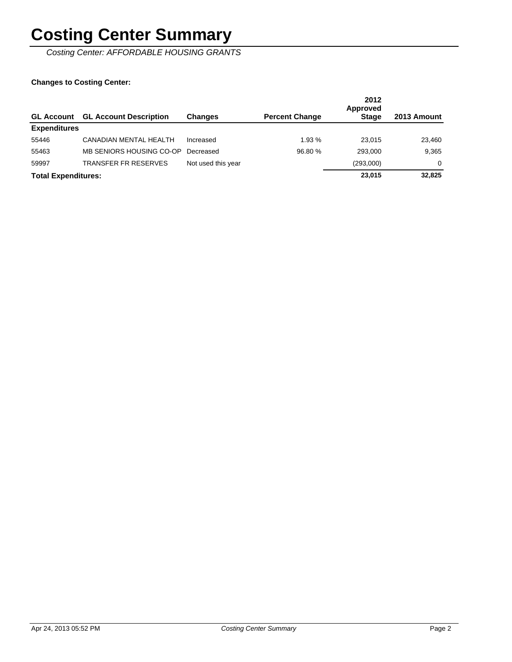Costing Center: AFFORDABLE HOUSING GRANTS

| <b>GL Account</b>          | <b>GL Account Description</b> | <b>Changes</b>     | <b>Percent Change</b> | 2012<br>Approved<br><b>Stage</b> | 2013 Amount |
|----------------------------|-------------------------------|--------------------|-----------------------|----------------------------------|-------------|
| <b>Expenditures</b>        |                               |                    |                       |                                  |             |
| 55446                      | CANADIAN MENTAL HEALTH        | Increased          | 1.93 %                | 23.015                           | 23,460      |
| 55463                      | MB SENIORS HOUSING CO-OP      | Decreased          | 96.80 %               | 293,000                          | 9,365       |
| 59997                      | <b>TRANSFER FR RESERVES</b>   | Not used this year |                       | (293,000)                        | $\Omega$    |
| <b>Total Expenditures:</b> |                               |                    |                       | 23,015                           | 32,825      |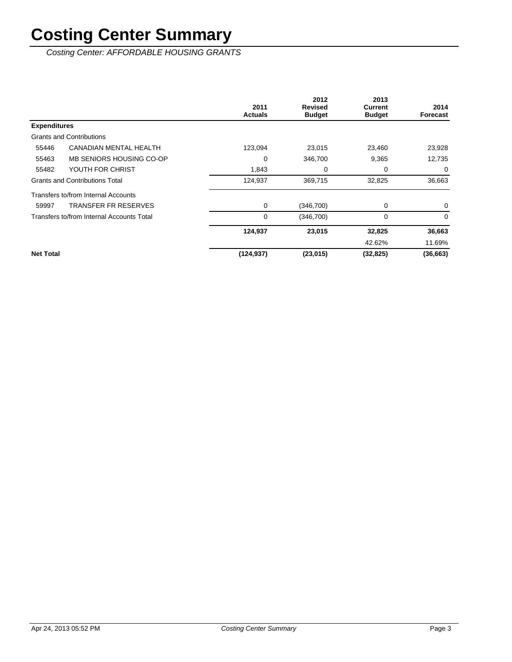Costing Center: AFFORDABLE HOUSING GRANTS

|                     |                                           | 2011<br><b>Actuals</b> | 2012<br><b>Revised</b><br><b>Budget</b> | 2013<br><b>Current</b><br><b>Budget</b> | 2014<br>Forecast |
|---------------------|-------------------------------------------|------------------------|-----------------------------------------|-----------------------------------------|------------------|
| <b>Expenditures</b> |                                           |                        |                                         |                                         |                  |
|                     | <b>Grants and Contributions</b>           |                        |                                         |                                         |                  |
| 55446               | CANADIAN MENTAL HEALTH                    | 123,094                | 23,015                                  | 23,460                                  | 23,928           |
| 55463               | MB SENIORS HOUSING CO-OP                  | 0                      | 346,700                                 | 9,365                                   | 12,735           |
| 55482               | YOUTH FOR CHRIST                          | 1,843                  | 0                                       | 0                                       | 0                |
|                     | <b>Grants and Contributions Total</b>     | 124,937                | 369,715                                 | 32,825                                  | 36,663           |
|                     | Transfers to/from Internal Accounts       |                        |                                         |                                         |                  |
| 59997               | TRANSFER FR RESERVES                      | 0                      | (346, 700)                              | 0                                       | 0                |
|                     | Transfers to/from Internal Accounts Total | 0                      | (346, 700)                              | $\mathbf 0$                             | $\Omega$         |
|                     |                                           | 124,937                | 23,015                                  | 32,825                                  | 36,663           |
|                     |                                           |                        |                                         | 42.62%                                  | 11.69%           |
| <b>Net Total</b>    |                                           | (124, 937)             | (23, 015)                               | (32, 825)                               | (36, 663)        |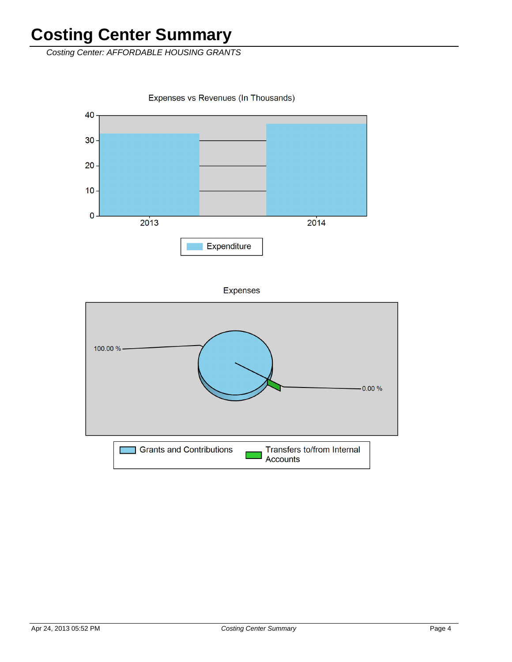Costing Center: AFFORDABLE HOUSING GRANTS

Expenses vs Revenues (In Thousands)



**Expenses** 

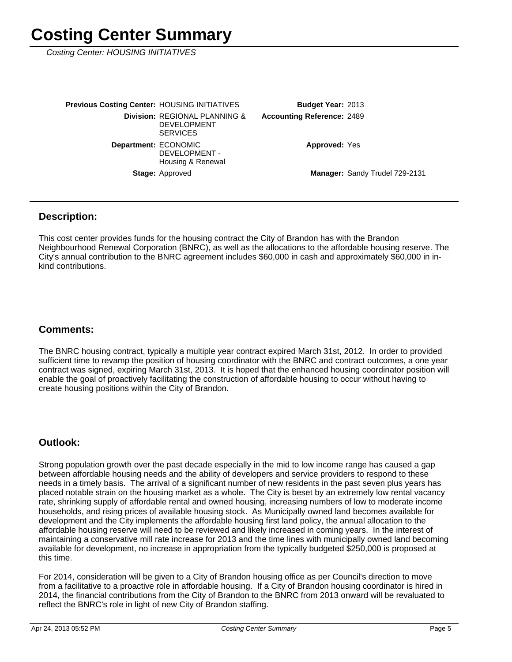Costing Center: HOUSING INITIATIVES

| <b>Previous Costing Center: HOUSING INITIATIVES</b> |                                                                        | <b>Budget Year: 2013</b>          |                                |
|-----------------------------------------------------|------------------------------------------------------------------------|-----------------------------------|--------------------------------|
|                                                     | Division: REGIONAL PLANNING &<br><b>DEVELOPMENT</b><br><b>SERVICES</b> | <b>Accounting Reference: 2489</b> |                                |
| Department: ECONOMIC                                | DEVELOPMENT -<br>Housing & Renewal                                     | <b>Approved: Yes</b>              |                                |
|                                                     | <b>Stage: Approved</b>                                                 |                                   | Manager: Sandy Trudel 729-2131 |

#### **Description:**

This cost center provides funds for the housing contract the City of Brandon has with the Brandon Neighbourhood Renewal Corporation (BNRC), as well as the allocations to the affordable housing reserve. The City's annual contribution to the BNRC agreement includes \$60,000 in cash and approximately \$60,000 in inkind contributions.

#### **Comments:**

The BNRC housing contract, typically a multiple year contract expired March 31st, 2012. In order to provided sufficient time to revamp the position of housing coordinator with the BNRC and contract outcomes, a one year contract was signed, expiring March 31st, 2013. It is hoped that the enhanced housing coordinator position will enable the goal of proactively facilitating the construction of affordable housing to occur without having to create housing positions within the City of Brandon.

#### **Outlook:**

Strong population growth over the past decade especially in the mid to low income range has caused a gap between affordable housing needs and the ability of developers and service providers to respond to these needs in a timely basis. The arrival of a significant number of new residents in the past seven plus years has placed notable strain on the housing market as a whole. The City is beset by an extremely low rental vacancy rate, shrinking supply of affordable rental and owned housing, increasing numbers of low to moderate income households, and rising prices of available housing stock. As Municipally owned land becomes available for development and the City implements the affordable housing first land policy, the annual allocation to the affordable housing reserve will need to be reviewed and likely increased in coming years. In the interest of maintaining a conservative mill rate increase for 2013 and the time lines with municipally owned land becoming available for development, no increase in appropriation from the typically budgeted \$250,000 is proposed at this time.

For 2014, consideration will be given to a City of Brandon housing office as per Council's direction to move from a facilitative to a proactive role in affordable housing. If a City of Brandon housing coordinator is hired in 2014, the financial contributions from the City of Brandon to the BNRC from 2013 onward will be revaluated to reflect the BNRC's role in light of new City of Brandon staffing.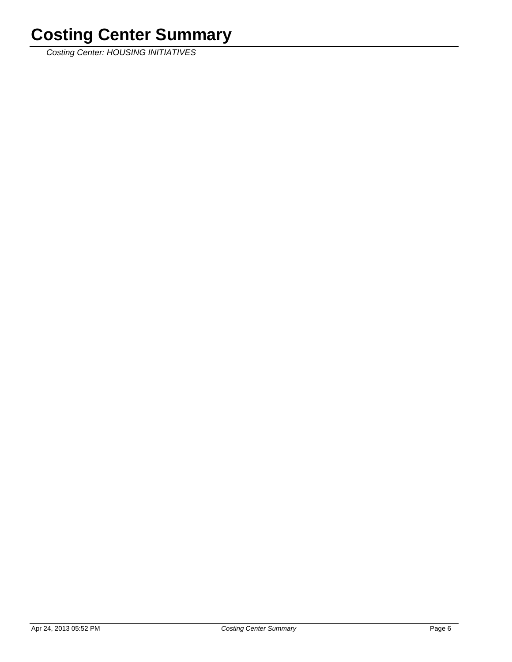Costing Center: HOUSING INITIATIVES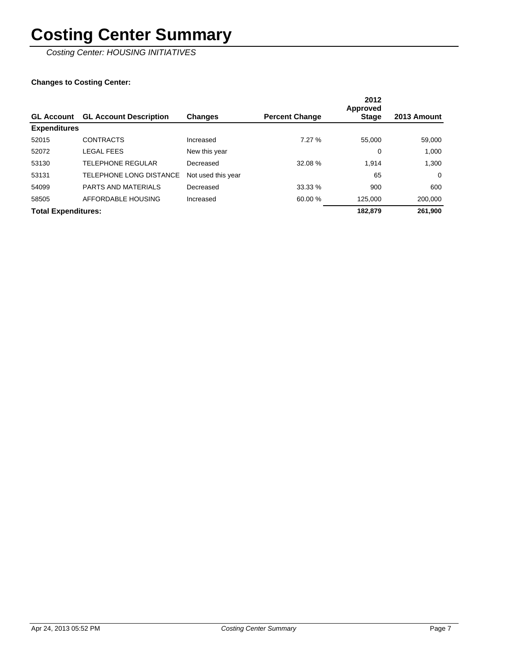Costing Center: HOUSING INITIATIVES

|                            |                               |                    |                       | 2012<br><b>Approved</b> |             |
|----------------------------|-------------------------------|--------------------|-----------------------|-------------------------|-------------|
| <b>GL Account</b>          | <b>GL Account Description</b> | <b>Changes</b>     | <b>Percent Change</b> | <b>Stage</b>            | 2013 Amount |
| <b>Expenditures</b>        |                               |                    |                       |                         |             |
| 52015                      | <b>CONTRACTS</b>              | Increased          | 7.27%                 | 55,000                  | 59,000      |
| 52072                      | <b>LEGAL FEES</b>             | New this year      |                       | 0                       | 1.000       |
| 53130                      | <b>TELEPHONE REGULAR</b>      | Decreased          | 32.08 %               | 1.914                   | 1,300       |
| 53131                      | TELEPHONE LONG DISTANCE       | Not used this year |                       | 65                      | $\Omega$    |
| 54099                      | <b>PARTS AND MATERIALS</b>    | Decreased          | 33.33 %               | 900                     | 600         |
| 58505                      | AFFORDABLE HOUSING            | Increased          | 60.00 %               | 125.000                 | 200,000     |
| <b>Total Expenditures:</b> |                               |                    |                       | 182.879                 | 261,900     |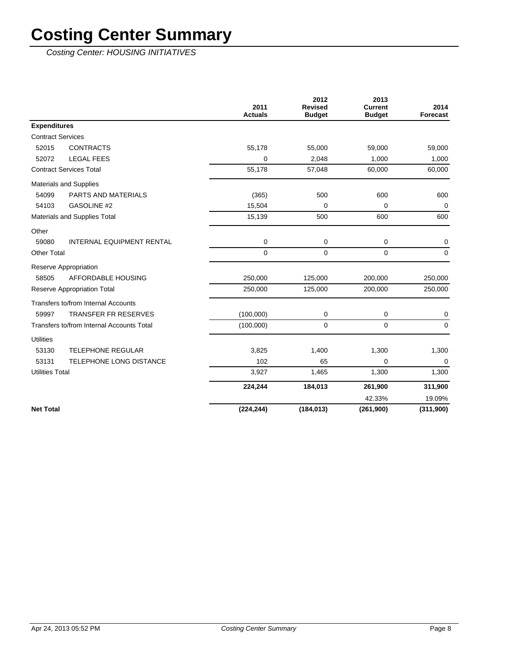Costing Center: HOUSING INITIATIVES

|                          |                                           | 2011<br><b>Actuals</b> | 2012<br><b>Revised</b><br><b>Budget</b> | 2013<br><b>Current</b><br><b>Budget</b> | 2014<br>Forecast |
|--------------------------|-------------------------------------------|------------------------|-----------------------------------------|-----------------------------------------|------------------|
| <b>Expenditures</b>      |                                           |                        |                                         |                                         |                  |
| <b>Contract Services</b> |                                           |                        |                                         |                                         |                  |
| 52015                    | <b>CONTRACTS</b>                          | 55,178                 | 55,000                                  | 59,000                                  | 59,000           |
| 52072                    | <b>LEGAL FEES</b>                         | 0                      | 2,048                                   | 1,000                                   | 1,000            |
|                          | <b>Contract Services Total</b>            | 55,178                 | 57,048                                  | 60,000                                  | 60,000           |
|                          | <b>Materials and Supplies</b>             |                        |                                         |                                         |                  |
| 54099                    | PARTS AND MATERIALS                       | (365)                  | 500                                     | 600                                     | 600              |
| 54103                    | <b>GASOLINE #2</b>                        | 15,504                 | $\mathbf 0$                             | 0                                       | $\mathbf 0$      |
|                          | Materials and Supplies Total              | 15,139                 | 500                                     | 600                                     | 600              |
| Other                    |                                           |                        |                                         |                                         |                  |
| 59080                    | <b>INTERNAL EQUIPMENT RENTAL</b>          | $\mathbf 0$            | 0                                       | 0                                       | 0                |
| <b>Other Total</b>       |                                           | $\mathbf 0$            | $\mathbf 0$                             | 0                                       | $\mathbf 0$      |
|                          | Reserve Appropriation                     |                        |                                         |                                         |                  |
| 58505                    | AFFORDABLE HOUSING                        | 250.000                | 125,000                                 | 200,000                                 | 250,000          |
|                          | <b>Reserve Appropriation Total</b>        | 250,000                | 125,000                                 | 200,000                                 | 250,000          |
|                          | Transfers to/from Internal Accounts       |                        |                                         |                                         |                  |
| 59997                    | <b>TRANSFER FR RESERVES</b>               | (100,000)              | 0                                       | 0                                       | 0                |
|                          | Transfers to/from Internal Accounts Total | (100,000)              | $\mathbf 0$                             | $\Omega$                                | $\Omega$         |
| <b>Utilities</b>         |                                           |                        |                                         |                                         |                  |
| 53130                    | <b>TELEPHONE REGULAR</b>                  | 3,825                  | 1,400                                   | 1,300                                   | 1,300            |
| 53131                    | TELEPHONE LONG DISTANCE                   | 102                    | 65                                      | 0                                       | $\mathbf 0$      |
| <b>Utilities Total</b>   |                                           | 3,927                  | 1,465                                   | 1,300                                   | 1,300            |
|                          |                                           | 224,244                | 184,013                                 | 261,900                                 | 311,900          |
|                          |                                           |                        |                                         | 42.33%                                  | 19.09%           |
| <b>Net Total</b>         |                                           | (224, 244)             | (184, 013)                              | (261,900)                               | (311,900)        |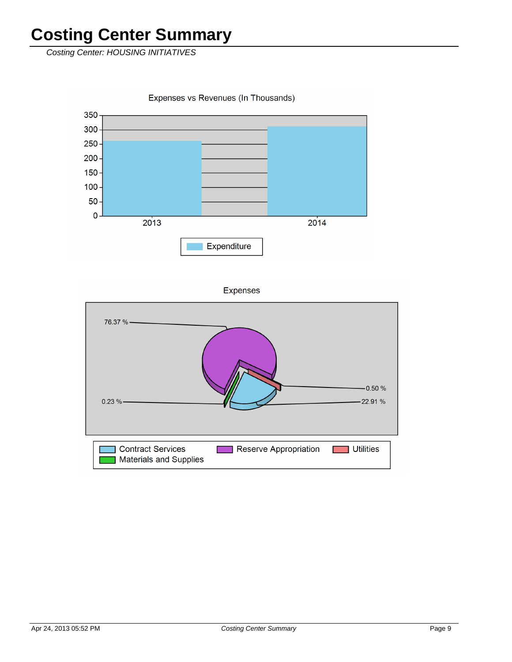Costing Center: HOUSING INITIATIVES

Expenses vs Revenues (In Thousands)



**Expenses** 

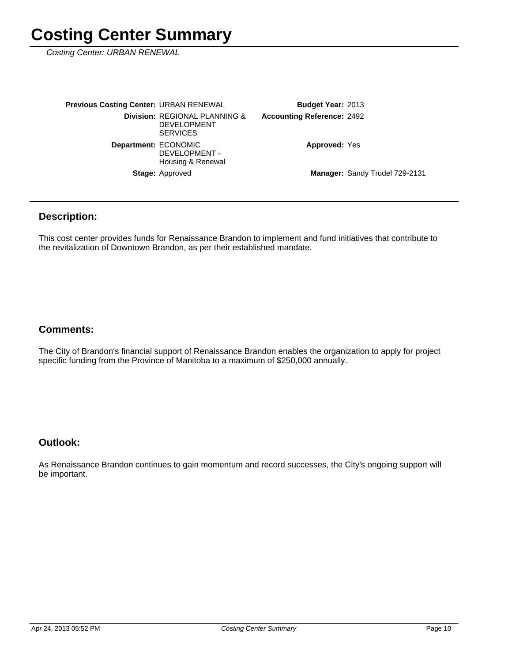Costing Center: URBAN RENEWAL

| <b>Previous Costing Center: URBAN RENEWAL</b> |                                                                        | <b>Budget Year: 2013</b>          |                                |
|-----------------------------------------------|------------------------------------------------------------------------|-----------------------------------|--------------------------------|
|                                               | Division: REGIONAL PLANNING &<br><b>DEVELOPMENT</b><br><b>SERVICES</b> | <b>Accounting Reference: 2492</b> |                                |
| Department: ECONOMIC                          | DEVELOPMENT -<br>Housing & Renewal                                     | <b>Approved: Yes</b>              |                                |
|                                               | <b>Stage: Approved</b>                                                 |                                   | Manager: Sandy Trudel 729-2131 |

### **Description:**

This cost center provides funds for Renaissance Brandon to implement and fund initiatives that contribute to the revitalization of Downtown Brandon, as per their established mandate.

### **Comments:**

The City of Brandon's financial support of Renaissance Brandon enables the organization to apply for project specific funding from the Province of Manitoba to a maximum of \$250,000 annually.

### **Outlook:**

As Renaissance Brandon continues to gain momentum and record successes, the City's ongoing support will be important.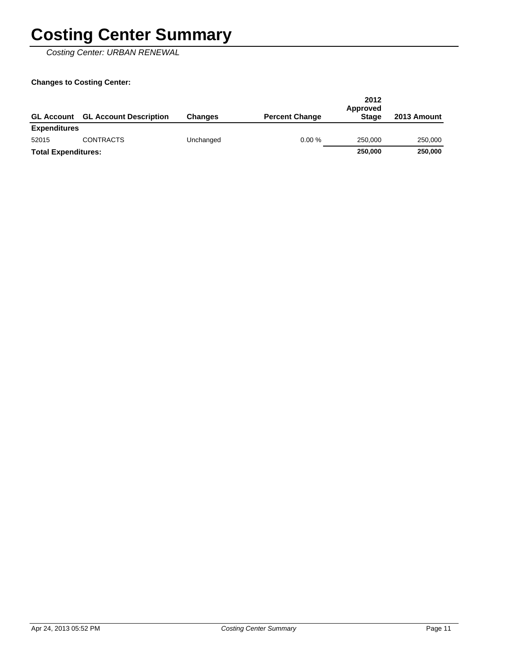Costing Center: URBAN RENEWAL

| <b>GL Account</b>          | <b>GL Account Description</b> | <b>Changes</b> | <b>Percent Change</b> | 2012<br>Approved<br><b>Stage</b> | 2013 Amount |
|----------------------------|-------------------------------|----------------|-----------------------|----------------------------------|-------------|
| <b>Expenditures</b>        |                               |                |                       |                                  |             |
| 52015                      | <b>CONTRACTS</b>              | Unchanged      | 0.00%                 | 250,000                          | 250,000     |
| <b>Total Expenditures:</b> |                               |                |                       | 250,000                          | 250,000     |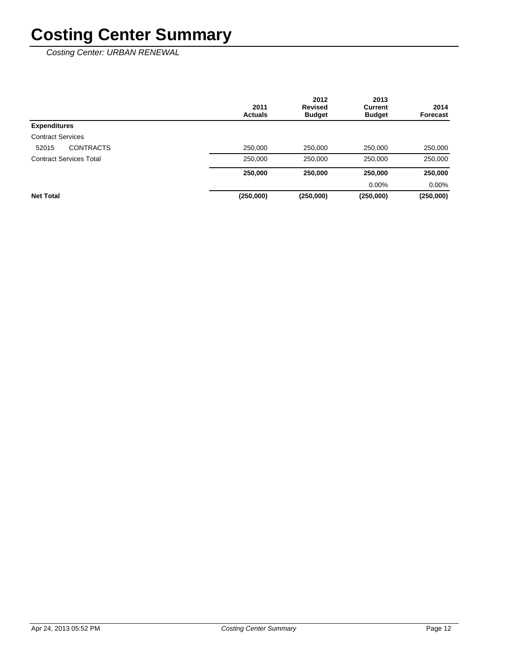Costing Center: URBAN RENEWAL

|                                | 2011<br><b>Actuals</b> | 2012<br><b>Revised</b><br><b>Budget</b> | 2013<br>Current<br><b>Budget</b> | 2014<br>Forecast |
|--------------------------------|------------------------|-----------------------------------------|----------------------------------|------------------|
| <b>Expenditures</b>            |                        |                                         |                                  |                  |
| <b>Contract Services</b>       |                        |                                         |                                  |                  |
| <b>CONTRACTS</b><br>52015      | 250,000                | 250,000                                 | 250,000                          | 250,000          |
| <b>Contract Services Total</b> | 250,000                | 250,000                                 | 250,000                          | 250,000          |
|                                | 250,000                | 250,000                                 | 250,000                          | 250,000          |
|                                |                        |                                         | $0.00\%$                         | $0.00\%$         |
| <b>Net Total</b>               | (250,000)              | (250,000)                               | (250,000)                        | (250,000)        |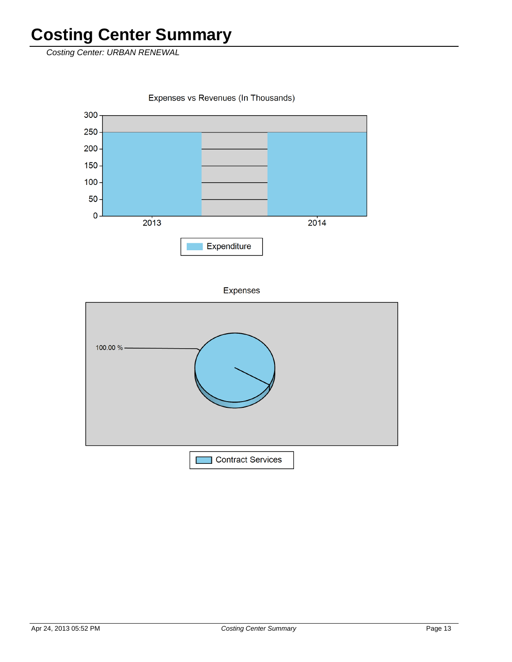Costing Center: URBAN RENEWAL

Expenses vs Revenues (In Thousands)



Expenses

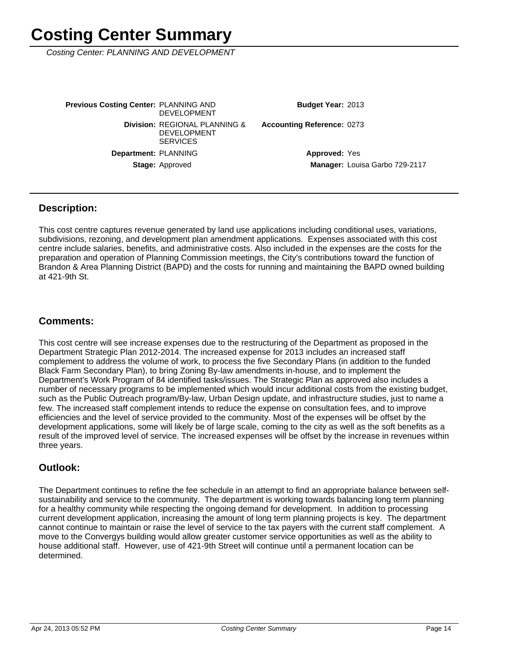Costing Center: PLANNING AND DEVELOPMENT

Manager: Louisa Garbo 729-2117 **Approved: Yes** Accounting Reference: 0273 Budget Year: 2013 Stage: Approved Department: PLANNING **Division: REGIONAL PLANNING &** DEVELOPMENT **SERVICES Previous Costing Center: PLANNING AND** DEVELOPMENT

### **Description:**

This cost centre captures revenue generated by land use applications including conditional uses, variations, subdivisions, rezoning, and development plan amendment applications. Expenses associated with this cost centre include salaries, benefits, and administrative costs. Also included in the expenses are the costs for the preparation and operation of Planning Commission meetings, the City's contributions toward the function of Brandon & Area Planning District (BAPD) and the costs for running and maintaining the BAPD owned building at 421-9th St.

### **Comments:**

This cost centre will see increase expenses due to the restructuring of the Department as proposed in the Department Strategic Plan 2012-2014. The increased expense for 2013 includes an increased staff complement to address the volume of work, to process the five Secondary Plans (in addition to the funded Black Farm Secondary Plan), to bring Zoning By-law amendments in-house, and to implement the Department's Work Program of 84 identified tasks/issues. The Strategic Plan as approved also includes a number of necessary programs to be implemented which would incur additional costs from the existing budget, such as the Public Outreach program/By-law, Urban Design update, and infrastructure studies, just to name a few. The increased staff complement intends to reduce the expense on consultation fees, and to improve efficiencies and the level of service provided to the community. Most of the expenses will be offset by the development applications, some will likely be of large scale, coming to the city as well as the soft benefits as a result of the improved level of service. The increased expenses will be offset by the increase in revenues within three years.

### **Outlook:**

The Department continues to refine the fee schedule in an attempt to find an appropriate balance between selfsustainability and service to the community. The department is working towards balancing long term planning for a healthy community while respecting the ongoing demand for development. In addition to processing current development application, increasing the amount of long term planning projects is key. The department cannot continue to maintain or raise the level of service to the tax payers with the current staff complement. A move to the Convergys building would allow greater customer service opportunities as well as the ability to house additional staff. However, use of 421-9th Street will continue until a permanent location can be determined.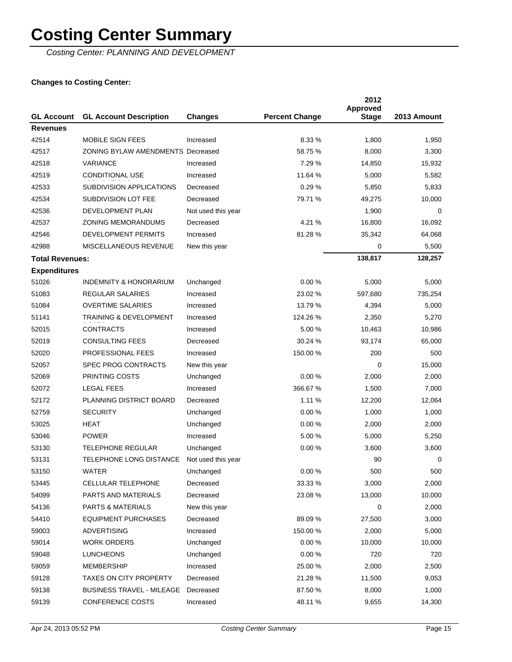Costing Center: PLANNING AND DEVELOPMENT

|                          |                                                |                    |                       | 2012<br><b>Approved</b> |             |
|--------------------------|------------------------------------------------|--------------------|-----------------------|-------------------------|-------------|
| <b>GL Account</b>        | <b>GL Account Description</b>                  | <b>Changes</b>     | <b>Percent Change</b> | <b>Stage</b>            | 2013 Amount |
| <b>Revenues</b><br>42514 | MOBILE SIGN FEES                               | Increased          | 8.33 %                | 1,800                   | 1,950       |
| 42517                    | <b>ZONING BYLAW AMENDMENTS Decreased</b>       |                    | 58.75 %               | 8,000                   | 3,300       |
| 42518                    | <b>VARIANCE</b>                                | Increased          | 7.29 %                | 14,850                  | 15,932      |
| 42519                    | <b>CONDITIONAL USE</b>                         | Increased          | 11.64 %               | 5,000                   | 5,582       |
|                          |                                                |                    |                       |                         |             |
| 42533                    | SUBDIVISION APPLICATIONS                       | Decreased          | 0.29%                 | 5,850                   | 5,833       |
| 42534                    | SUBDIVISION LOT FEE<br><b>DEVELOPMENT PLAN</b> | Decreased          | 79.71 %               | 49,275                  | 10,000      |
| 42536                    |                                                | Not used this year |                       | 1,900                   | 0           |
| 42537                    | <b>ZONING MEMORANDUMS</b>                      | Decreased          | 4.21%                 | 16,800                  | 16,092      |
| 42546                    | DEVELOPMENT PERMITS                            | Increased          | 81.28%                | 35,342                  | 64,068      |
| 42988                    | MISCELLANEOUS REVENUE                          | New this year      |                       | 0                       | 5,500       |
| <b>Total Revenues:</b>   |                                                |                    |                       | 138,817                 | 128,257     |
| <b>Expenditures</b>      |                                                |                    |                       |                         |             |
| 51026                    | <b>INDEMNITY &amp; HONORARIUM</b>              | Unchanged          | 0.00%                 | 5,000                   | 5,000       |
| 51083                    | <b>REGULAR SALARIES</b>                        | Increased          | 23.02 %               | 597,680                 | 735,254     |
| 51084                    | <b>OVERTIME SALARIES</b>                       | Increased          | 13.79 %               | 4,394                   | 5,000       |
| 51141                    | <b>TRAINING &amp; DEVELOPMENT</b>              | Increased          | 124.26 %              | 2,350                   | 5,270       |
| 52015                    | <b>CONTRACTS</b>                               | Increased          | 5.00 %                | 10,463                  | 10,986      |
| 52019                    | <b>CONSULTING FEES</b>                         | Decreased          | 30.24 %               | 93,174                  | 65,000      |
| 52020                    | PROFESSIONAL FEES                              | Increased          | 150.00 %              | 200                     | 500         |
| 52057                    | <b>SPEC PROG CONTRACTS</b>                     | New this year      |                       | 0                       | 15,000      |
| 52069                    | PRINTING COSTS                                 | Unchanged          | 0.00%                 | 2,000                   | 2,000       |
| 52072                    | <b>LEGAL FEES</b>                              | Increased          | 366.67 %              | 1,500                   | 7,000       |
| 52172                    | PLANNING DISTRICT BOARD                        | Decreased          | 1.11%                 | 12,200                  | 12,064      |
| 52759                    | <b>SECURITY</b>                                | Unchanged          | 0.00%                 | 1,000                   | 1,000       |
| 53025                    | HEAT                                           | Unchanged          | 0.00%                 | 2,000                   | 2,000       |
| 53046                    | <b>POWER</b>                                   | Increased          | 5.00 %                | 5,000                   | 5,250       |
| 53130                    | <b>TELEPHONE REGULAR</b>                       | Unchanged          | 0.00%                 | 3,600                   | 3,600       |
| 53131                    | TELEPHONE LONG DISTANCE                        | Not used this year |                       | 90                      | 0           |
| 53150                    | WATER                                          | Unchanged          | 0.00%                 | 500                     | 500         |
| 53445                    | CELLULAR TELEPHONE                             | Decreased          | 33.33 %               | 3,000                   | 2,000       |
| 54099                    | PARTS AND MATERIALS                            | Decreased          | 23.08 %               | 13,000                  | 10,000      |
| 54136                    | PARTS & MATERIALS                              | New this year      |                       | 0                       | 2,000       |
| 54410                    | <b>EQUIPMENT PURCHASES</b>                     | Decreased          | 89.09 %               | 27,500                  | 3,000       |
| 59003                    | <b>ADVERTISING</b>                             | Increased          | 150.00 %              | 2,000                   | 5,000       |
| 59014                    | <b>WORK ORDERS</b>                             | Unchanged          | 0.00%                 | 10,000                  | 10,000      |
| 59048                    | <b>LUNCHEONS</b>                               | Unchanged          | 0.00%                 | 720                     | 720         |
| 59059                    | <b>MEMBERSHIP</b>                              | Increased          | 25.00 %               | 2,000                   | 2,500       |
| 59128                    | <b>TAXES ON CITY PROPERTY</b>                  | Decreased          | 21.28 %               | 11,500                  | 9,053       |
| 59138                    | BUSINESS TRAVEL - MILEAGE                      | Decreased          | 87.50 %               | 8,000                   | 1,000       |
| 59139                    | <b>CONFERENCE COSTS</b>                        | Increased          | 48.11 %               | 9,655                   | 14,300      |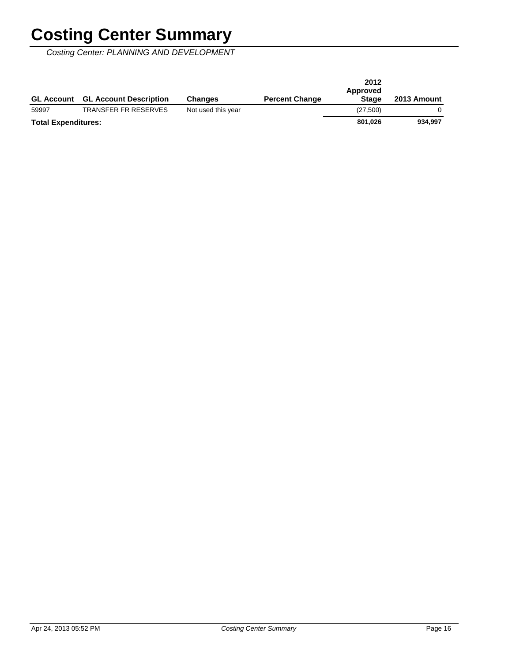Costing Center: PLANNING AND DEVELOPMENT

| <b>GL Account</b>          | <b>GL Account Description</b> | <b>Changes</b>     | <b>Percent Change</b> | 2012<br>Approved<br><b>Stage</b> | 2013 Amount |
|----------------------------|-------------------------------|--------------------|-----------------------|----------------------------------|-------------|
| 59997                      | <b>TRANSFER FR RESERVES</b>   | Not used this year |                       | (27,500)                         |             |
| <b>Total Expenditures:</b> |                               |                    |                       | 801.026                          | 934,997     |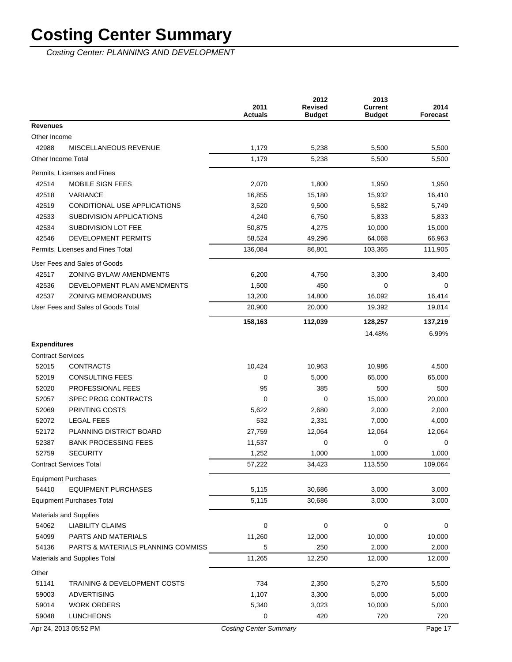Costing Center: PLANNING AND DEVELOPMENT

| <b>Revenues</b><br>Other Income<br>42988<br>MISCELLANEOUS REVENUE<br>1,179<br>5,238<br>5,500<br>1,179<br>5,500<br><b>Other Income Total</b><br>5,238<br>Permits, Licenses and Fines<br>42514<br><b>MOBILE SIGN FEES</b><br>2,070<br>1,800<br>1,950<br>42518<br><b>VARIANCE</b><br>15,180<br>16,855<br>15,932<br>16,410<br>42519<br>CONDITIONAL USE APPLICATIONS<br>3,520<br>9,500<br>5,582<br>42533<br>SUBDIVISION APPLICATIONS<br>4,240<br>6,750<br>5,833<br>42534<br>SUBDIVISION LOT FEE<br>50,875<br>4,275<br>10,000<br>15,000<br>DEVELOPMENT PERMITS<br>42546<br>58,524<br>49,296<br>64,068<br>66,963<br>Permits, Licenses and Fines Total<br>136,084<br>86,801<br>103,365<br>111,905<br>User Fees and Sales of Goods<br>42517<br><b>ZONING BYLAW AMENDMENTS</b><br>6,200<br>3,300<br>4,750<br>42536<br>DEVELOPMENT PLAN AMENDMENTS<br>1,500<br>450<br>$\mathbf 0$<br>42537<br><b>ZONING MEMORANDUMS</b><br>16,092<br>13,200<br>14,800<br>16,414<br>User Fees and Sales of Goods Total<br>20,900<br>19,814<br>20,000<br>19,392<br>158,163<br>112,039<br>128,257<br>137,219<br>14.48%<br>6.99%<br><b>Expenditures</b><br><b>Contract Services</b><br>52015<br><b>CONTRACTS</b><br>10,424<br>10,963<br>10,986<br>52019<br><b>CONSULTING FEES</b><br>0<br>5,000<br>65,000<br>65,000<br>52020<br>PROFESSIONAL FEES<br>95<br>385<br>500<br>52057<br><b>SPEC PROG CONTRACTS</b><br>0<br>0<br>20,000<br>15,000<br>52069<br>PRINTING COSTS<br>2,000<br>5,622<br>2,680<br>52072<br><b>LEGAL FEES</b><br>532<br>2,331<br>7,000<br>PLANNING DISTRICT BOARD<br>52172<br>27,759<br>12,064<br>12,064<br>12,064<br>52387<br><b>BANK PROCESSING FEES</b><br>11,537<br>0<br>$\mathbf 0$<br>52759<br><b>SECURITY</b><br>1,252<br>1,000<br>1,000<br><b>Contract Services Total</b><br>57,222<br>34,423<br>113,550<br>109,064<br><b>Equipment Purchases</b><br>54410<br><b>EQUIPMENT PURCHASES</b><br>5,115<br>30,686<br>3,000<br>5,115<br>30,686<br><b>Equipment Purchases Total</b><br>3,000 | 2014<br><b>Forecast</b> |
|--------------------------------------------------------------------------------------------------------------------------------------------------------------------------------------------------------------------------------------------------------------------------------------------------------------------------------------------------------------------------------------------------------------------------------------------------------------------------------------------------------------------------------------------------------------------------------------------------------------------------------------------------------------------------------------------------------------------------------------------------------------------------------------------------------------------------------------------------------------------------------------------------------------------------------------------------------------------------------------------------------------------------------------------------------------------------------------------------------------------------------------------------------------------------------------------------------------------------------------------------------------------------------------------------------------------------------------------------------------------------------------------------------------------------------------------------------------------------------------------------------------------------------------------------------------------------------------------------------------------------------------------------------------------------------------------------------------------------------------------------------------------------------------------------------------------------------------------------------------------------------------------------------------------------------------------------------------------------------|-------------------------|
|                                                                                                                                                                                                                                                                                                                                                                                                                                                                                                                                                                                                                                                                                                                                                                                                                                                                                                                                                                                                                                                                                                                                                                                                                                                                                                                                                                                                                                                                                                                                                                                                                                                                                                                                                                                                                                                                                                                                                                                |                         |
|                                                                                                                                                                                                                                                                                                                                                                                                                                                                                                                                                                                                                                                                                                                                                                                                                                                                                                                                                                                                                                                                                                                                                                                                                                                                                                                                                                                                                                                                                                                                                                                                                                                                                                                                                                                                                                                                                                                                                                                |                         |
|                                                                                                                                                                                                                                                                                                                                                                                                                                                                                                                                                                                                                                                                                                                                                                                                                                                                                                                                                                                                                                                                                                                                                                                                                                                                                                                                                                                                                                                                                                                                                                                                                                                                                                                                                                                                                                                                                                                                                                                | 5,500                   |
|                                                                                                                                                                                                                                                                                                                                                                                                                                                                                                                                                                                                                                                                                                                                                                                                                                                                                                                                                                                                                                                                                                                                                                                                                                                                                                                                                                                                                                                                                                                                                                                                                                                                                                                                                                                                                                                                                                                                                                                | 5,500                   |
|                                                                                                                                                                                                                                                                                                                                                                                                                                                                                                                                                                                                                                                                                                                                                                                                                                                                                                                                                                                                                                                                                                                                                                                                                                                                                                                                                                                                                                                                                                                                                                                                                                                                                                                                                                                                                                                                                                                                                                                |                         |
|                                                                                                                                                                                                                                                                                                                                                                                                                                                                                                                                                                                                                                                                                                                                                                                                                                                                                                                                                                                                                                                                                                                                                                                                                                                                                                                                                                                                                                                                                                                                                                                                                                                                                                                                                                                                                                                                                                                                                                                | 1,950                   |
|                                                                                                                                                                                                                                                                                                                                                                                                                                                                                                                                                                                                                                                                                                                                                                                                                                                                                                                                                                                                                                                                                                                                                                                                                                                                                                                                                                                                                                                                                                                                                                                                                                                                                                                                                                                                                                                                                                                                                                                |                         |
|                                                                                                                                                                                                                                                                                                                                                                                                                                                                                                                                                                                                                                                                                                                                                                                                                                                                                                                                                                                                                                                                                                                                                                                                                                                                                                                                                                                                                                                                                                                                                                                                                                                                                                                                                                                                                                                                                                                                                                                | 5,749                   |
|                                                                                                                                                                                                                                                                                                                                                                                                                                                                                                                                                                                                                                                                                                                                                                                                                                                                                                                                                                                                                                                                                                                                                                                                                                                                                                                                                                                                                                                                                                                                                                                                                                                                                                                                                                                                                                                                                                                                                                                | 5,833                   |
|                                                                                                                                                                                                                                                                                                                                                                                                                                                                                                                                                                                                                                                                                                                                                                                                                                                                                                                                                                                                                                                                                                                                                                                                                                                                                                                                                                                                                                                                                                                                                                                                                                                                                                                                                                                                                                                                                                                                                                                |                         |
|                                                                                                                                                                                                                                                                                                                                                                                                                                                                                                                                                                                                                                                                                                                                                                                                                                                                                                                                                                                                                                                                                                                                                                                                                                                                                                                                                                                                                                                                                                                                                                                                                                                                                                                                                                                                                                                                                                                                                                                |                         |
|                                                                                                                                                                                                                                                                                                                                                                                                                                                                                                                                                                                                                                                                                                                                                                                                                                                                                                                                                                                                                                                                                                                                                                                                                                                                                                                                                                                                                                                                                                                                                                                                                                                                                                                                                                                                                                                                                                                                                                                |                         |
|                                                                                                                                                                                                                                                                                                                                                                                                                                                                                                                                                                                                                                                                                                                                                                                                                                                                                                                                                                                                                                                                                                                                                                                                                                                                                                                                                                                                                                                                                                                                                                                                                                                                                                                                                                                                                                                                                                                                                                                |                         |
|                                                                                                                                                                                                                                                                                                                                                                                                                                                                                                                                                                                                                                                                                                                                                                                                                                                                                                                                                                                                                                                                                                                                                                                                                                                                                                                                                                                                                                                                                                                                                                                                                                                                                                                                                                                                                                                                                                                                                                                | 3,400                   |
|                                                                                                                                                                                                                                                                                                                                                                                                                                                                                                                                                                                                                                                                                                                                                                                                                                                                                                                                                                                                                                                                                                                                                                                                                                                                                                                                                                                                                                                                                                                                                                                                                                                                                                                                                                                                                                                                                                                                                                                | 0                       |
|                                                                                                                                                                                                                                                                                                                                                                                                                                                                                                                                                                                                                                                                                                                                                                                                                                                                                                                                                                                                                                                                                                                                                                                                                                                                                                                                                                                                                                                                                                                                                                                                                                                                                                                                                                                                                                                                                                                                                                                |                         |
|                                                                                                                                                                                                                                                                                                                                                                                                                                                                                                                                                                                                                                                                                                                                                                                                                                                                                                                                                                                                                                                                                                                                                                                                                                                                                                                                                                                                                                                                                                                                                                                                                                                                                                                                                                                                                                                                                                                                                                                |                         |
|                                                                                                                                                                                                                                                                                                                                                                                                                                                                                                                                                                                                                                                                                                                                                                                                                                                                                                                                                                                                                                                                                                                                                                                                                                                                                                                                                                                                                                                                                                                                                                                                                                                                                                                                                                                                                                                                                                                                                                                |                         |
|                                                                                                                                                                                                                                                                                                                                                                                                                                                                                                                                                                                                                                                                                                                                                                                                                                                                                                                                                                                                                                                                                                                                                                                                                                                                                                                                                                                                                                                                                                                                                                                                                                                                                                                                                                                                                                                                                                                                                                                |                         |
|                                                                                                                                                                                                                                                                                                                                                                                                                                                                                                                                                                                                                                                                                                                                                                                                                                                                                                                                                                                                                                                                                                                                                                                                                                                                                                                                                                                                                                                                                                                                                                                                                                                                                                                                                                                                                                                                                                                                                                                |                         |
|                                                                                                                                                                                                                                                                                                                                                                                                                                                                                                                                                                                                                                                                                                                                                                                                                                                                                                                                                                                                                                                                                                                                                                                                                                                                                                                                                                                                                                                                                                                                                                                                                                                                                                                                                                                                                                                                                                                                                                                |                         |
|                                                                                                                                                                                                                                                                                                                                                                                                                                                                                                                                                                                                                                                                                                                                                                                                                                                                                                                                                                                                                                                                                                                                                                                                                                                                                                                                                                                                                                                                                                                                                                                                                                                                                                                                                                                                                                                                                                                                                                                | 4,500                   |
|                                                                                                                                                                                                                                                                                                                                                                                                                                                                                                                                                                                                                                                                                                                                                                                                                                                                                                                                                                                                                                                                                                                                                                                                                                                                                                                                                                                                                                                                                                                                                                                                                                                                                                                                                                                                                                                                                                                                                                                |                         |
|                                                                                                                                                                                                                                                                                                                                                                                                                                                                                                                                                                                                                                                                                                                                                                                                                                                                                                                                                                                                                                                                                                                                                                                                                                                                                                                                                                                                                                                                                                                                                                                                                                                                                                                                                                                                                                                                                                                                                                                | 500                     |
|                                                                                                                                                                                                                                                                                                                                                                                                                                                                                                                                                                                                                                                                                                                                                                                                                                                                                                                                                                                                                                                                                                                                                                                                                                                                                                                                                                                                                                                                                                                                                                                                                                                                                                                                                                                                                                                                                                                                                                                |                         |
|                                                                                                                                                                                                                                                                                                                                                                                                                                                                                                                                                                                                                                                                                                                                                                                                                                                                                                                                                                                                                                                                                                                                                                                                                                                                                                                                                                                                                                                                                                                                                                                                                                                                                                                                                                                                                                                                                                                                                                                | 2,000                   |
|                                                                                                                                                                                                                                                                                                                                                                                                                                                                                                                                                                                                                                                                                                                                                                                                                                                                                                                                                                                                                                                                                                                                                                                                                                                                                                                                                                                                                                                                                                                                                                                                                                                                                                                                                                                                                                                                                                                                                                                | 4,000                   |
|                                                                                                                                                                                                                                                                                                                                                                                                                                                                                                                                                                                                                                                                                                                                                                                                                                                                                                                                                                                                                                                                                                                                                                                                                                                                                                                                                                                                                                                                                                                                                                                                                                                                                                                                                                                                                                                                                                                                                                                |                         |
|                                                                                                                                                                                                                                                                                                                                                                                                                                                                                                                                                                                                                                                                                                                                                                                                                                                                                                                                                                                                                                                                                                                                                                                                                                                                                                                                                                                                                                                                                                                                                                                                                                                                                                                                                                                                                                                                                                                                                                                | 0                       |
|                                                                                                                                                                                                                                                                                                                                                                                                                                                                                                                                                                                                                                                                                                                                                                                                                                                                                                                                                                                                                                                                                                                                                                                                                                                                                                                                                                                                                                                                                                                                                                                                                                                                                                                                                                                                                                                                                                                                                                                | 1,000                   |
|                                                                                                                                                                                                                                                                                                                                                                                                                                                                                                                                                                                                                                                                                                                                                                                                                                                                                                                                                                                                                                                                                                                                                                                                                                                                                                                                                                                                                                                                                                                                                                                                                                                                                                                                                                                                                                                                                                                                                                                |                         |
|                                                                                                                                                                                                                                                                                                                                                                                                                                                                                                                                                                                                                                                                                                                                                                                                                                                                                                                                                                                                                                                                                                                                                                                                                                                                                                                                                                                                                                                                                                                                                                                                                                                                                                                                                                                                                                                                                                                                                                                |                         |
|                                                                                                                                                                                                                                                                                                                                                                                                                                                                                                                                                                                                                                                                                                                                                                                                                                                                                                                                                                                                                                                                                                                                                                                                                                                                                                                                                                                                                                                                                                                                                                                                                                                                                                                                                                                                                                                                                                                                                                                | 3,000                   |
|                                                                                                                                                                                                                                                                                                                                                                                                                                                                                                                                                                                                                                                                                                                                                                                                                                                                                                                                                                                                                                                                                                                                                                                                                                                                                                                                                                                                                                                                                                                                                                                                                                                                                                                                                                                                                                                                                                                                                                                | 3,000                   |
| Materials and Supplies                                                                                                                                                                                                                                                                                                                                                                                                                                                                                                                                                                                                                                                                                                                                                                                                                                                                                                                                                                                                                                                                                                                                                                                                                                                                                                                                                                                                                                                                                                                                                                                                                                                                                                                                                                                                                                                                                                                                                         |                         |
| 0<br>54062<br><b>LIABILITY CLAIMS</b><br>0<br>0                                                                                                                                                                                                                                                                                                                                                                                                                                                                                                                                                                                                                                                                                                                                                                                                                                                                                                                                                                                                                                                                                                                                                                                                                                                                                                                                                                                                                                                                                                                                                                                                                                                                                                                                                                                                                                                                                                                                | 0                       |
| 54099<br>PARTS AND MATERIALS<br>11,260<br>12,000<br>10,000<br>10,000                                                                                                                                                                                                                                                                                                                                                                                                                                                                                                                                                                                                                                                                                                                                                                                                                                                                                                                                                                                                                                                                                                                                                                                                                                                                                                                                                                                                                                                                                                                                                                                                                                                                                                                                                                                                                                                                                                           |                         |
| 54136<br>5<br>PARTS & MATERIALS PLANNING COMMISS<br>250<br>2,000                                                                                                                                                                                                                                                                                                                                                                                                                                                                                                                                                                                                                                                                                                                                                                                                                                                                                                                                                                                                                                                                                                                                                                                                                                                                                                                                                                                                                                                                                                                                                                                                                                                                                                                                                                                                                                                                                                               | 2,000                   |
| 11,265<br>Materials and Supplies Total<br>12,250<br>12,000<br>12,000                                                                                                                                                                                                                                                                                                                                                                                                                                                                                                                                                                                                                                                                                                                                                                                                                                                                                                                                                                                                                                                                                                                                                                                                                                                                                                                                                                                                                                                                                                                                                                                                                                                                                                                                                                                                                                                                                                           |                         |
| Other                                                                                                                                                                                                                                                                                                                                                                                                                                                                                                                                                                                                                                                                                                                                                                                                                                                                                                                                                                                                                                                                                                                                                                                                                                                                                                                                                                                                                                                                                                                                                                                                                                                                                                                                                                                                                                                                                                                                                                          |                         |
| 51141<br><b>TRAINING &amp; DEVELOPMENT COSTS</b><br>734<br>2,350<br>5,270                                                                                                                                                                                                                                                                                                                                                                                                                                                                                                                                                                                                                                                                                                                                                                                                                                                                                                                                                                                                                                                                                                                                                                                                                                                                                                                                                                                                                                                                                                                                                                                                                                                                                                                                                                                                                                                                                                      | 5,500                   |
| 59003<br>1,107<br><b>ADVERTISING</b><br>3,300<br>5,000                                                                                                                                                                                                                                                                                                                                                                                                                                                                                                                                                                                                                                                                                                                                                                                                                                                                                                                                                                                                                                                                                                                                                                                                                                                                                                                                                                                                                                                                                                                                                                                                                                                                                                                                                                                                                                                                                                                         | 5,000                   |
| 59014<br><b>WORK ORDERS</b><br>5,340<br>3,023<br>10,000                                                                                                                                                                                                                                                                                                                                                                                                                                                                                                                                                                                                                                                                                                                                                                                                                                                                                                                                                                                                                                                                                                                                                                                                                                                                                                                                                                                                                                                                                                                                                                                                                                                                                                                                                                                                                                                                                                                        | 5,000                   |
| 0<br>59048<br><b>LUNCHEONS</b><br>420<br>720                                                                                                                                                                                                                                                                                                                                                                                                                                                                                                                                                                                                                                                                                                                                                                                                                                                                                                                                                                                                                                                                                                                                                                                                                                                                                                                                                                                                                                                                                                                                                                                                                                                                                                                                                                                                                                                                                                                                   | 720                     |
| <b>Costing Center Summary</b><br>Apr 24, 2013 05:52 PM<br>Page 17                                                                                                                                                                                                                                                                                                                                                                                                                                                                                                                                                                                                                                                                                                                                                                                                                                                                                                                                                                                                                                                                                                                                                                                                                                                                                                                                                                                                                                                                                                                                                                                                                                                                                                                                                                                                                                                                                                              |                         |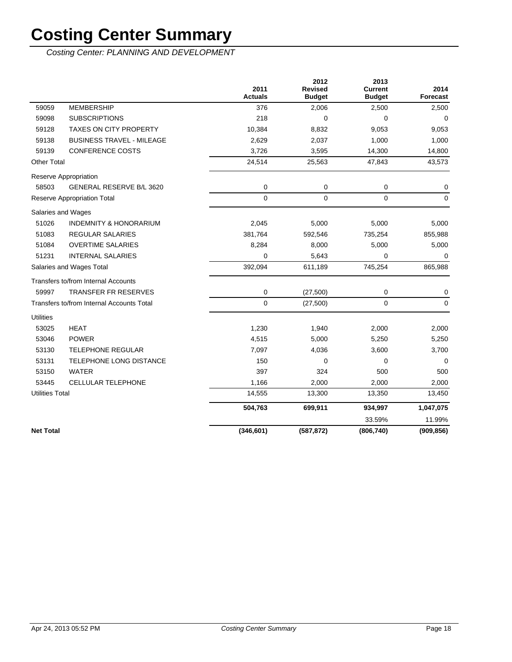Costing Center: PLANNING AND DEVELOPMENT

|                        |                                           | 2011<br><b>Actuals</b> | 2012<br><b>Revised</b><br><b>Budget</b> | 2013<br><b>Current</b><br><b>Budget</b> | 2014<br>Forecast |
|------------------------|-------------------------------------------|------------------------|-----------------------------------------|-----------------------------------------|------------------|
| 59059                  | <b>MEMBERSHIP</b>                         | 376                    | 2,006                                   | 2,500                                   | 2,500            |
| 59098                  | <b>SUBSCRIPTIONS</b>                      | 218                    | 0                                       | $\mathbf 0$                             | $\mathbf 0$      |
| 59128                  | <b>TAXES ON CITY PROPERTY</b>             | 10,384                 | 8,832                                   | 9,053                                   | 9,053            |
| 59138                  | <b>BUSINESS TRAVEL - MILEAGE</b>          | 2,629                  | 2,037                                   | 1,000                                   | 1,000            |
| 59139                  | <b>CONFERENCE COSTS</b>                   | 3,726                  | 3,595                                   | 14,300                                  | 14,800           |
| <b>Other Total</b>     |                                           | 24,514                 | 25,563                                  | 47,843                                  | 43,573           |
|                        | Reserve Appropriation                     |                        |                                         |                                         |                  |
| 58503                  | GENERAL RESERVE B/L 3620                  | 0                      | 0                                       | 0                                       | 0                |
|                        | <b>Reserve Appropriation Total</b>        | $\mathbf 0$            | $\mathbf 0$                             | $\Omega$                                | 0                |
|                        | Salaries and Wages                        |                        |                                         |                                         |                  |
| 51026                  | <b>INDEMNITY &amp; HONORARIUM</b>         | 2,045                  | 5,000                                   | 5,000                                   | 5,000            |
| 51083                  | <b>REGULAR SALARIES</b>                   | 381,764                | 592,546                                 | 735,254                                 | 855,988          |
| 51084                  | <b>OVERTIME SALARIES</b>                  | 8,284                  | 8,000                                   | 5,000                                   | 5,000            |
| 51231                  | <b>INTERNAL SALARIES</b>                  | $\Omega$               | 5,643                                   | 0                                       | 0                |
|                        | Salaries and Wages Total                  | 392,094                | 611,189                                 | 745,254                                 | 865,988          |
|                        | Transfers to/from Internal Accounts       |                        |                                         |                                         |                  |
| 59997                  | <b>TRANSFER FR RESERVES</b>               | 0                      | (27, 500)                               | 0                                       | 0                |
|                        | Transfers to/from Internal Accounts Total | $\mathbf 0$            | (27, 500)                               | $\mathbf 0$                             | $\mathbf 0$      |
| <b>Utilities</b>       |                                           |                        |                                         |                                         |                  |
| 53025                  | <b>HEAT</b>                               | 1,230                  | 1,940                                   | 2,000                                   | 2,000            |
| 53046                  | <b>POWER</b>                              | 4,515                  | 5,000                                   | 5,250                                   | 5,250            |
| 53130                  | <b>TELEPHONE REGULAR</b>                  | 7,097                  | 4,036                                   | 3,600                                   | 3,700            |
| 53131                  | TELEPHONE LONG DISTANCE                   | 150                    | 0                                       | $\mathbf 0$                             | $\mathbf 0$      |
| 53150                  | <b>WATER</b>                              | 397                    | 324                                     | 500                                     | 500              |
| 53445                  | CELLULAR TELEPHONE                        | 1,166                  | 2,000                                   | 2,000                                   | 2,000            |
| <b>Utilities Total</b> |                                           | 14,555                 | 13,300                                  | 13,350                                  | 13,450           |
|                        |                                           | 504,763                | 699,911                                 | 934,997                                 | 1,047,075        |
|                        |                                           |                        |                                         | 33.59%                                  | 11.99%           |
| <b>Net Total</b>       |                                           | (346, 601)             | (587, 872)                              | (806, 740)                              | (909, 856)       |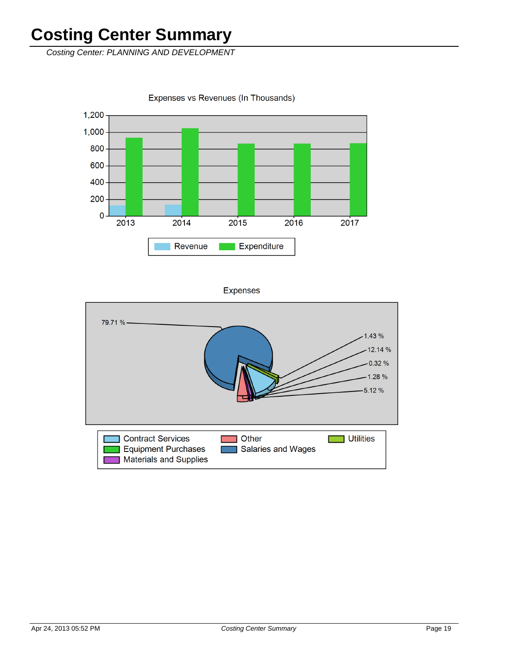Costing Center: PLANNING AND DEVELOPMENT

1,200 1,000 800 600 400 200  $\mathbf 0$  $2013$  $2014$  $2016$ 2015 2017 Expenditure Revenue

Expenses vs Revenues (In Thousands)

**Expenses** 

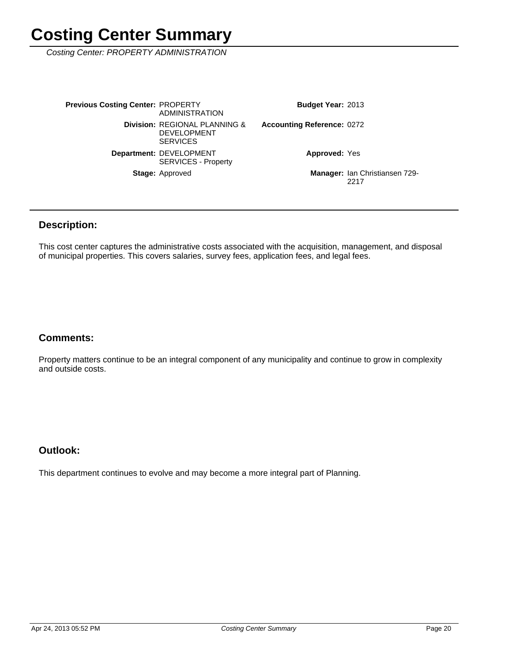Costing Center: PROPERTY ADMINISTRATION

Manager: Ian Christiansen 729-2217 **Approved: Yes** Accounting Reference: 0272 Budget Year: 2013 Stage: Approved Department: DEVELOPMENT SERVICES - Property **Division: REGIONAL PLANNING &** DEVELOPMENT **SERVICES Previous Costing Center: PROPERTY** ADMINISTRATION

### **Description:**

This cost center captures the administrative costs associated with the acquisition, management, and disposal of municipal properties. This covers salaries, survey fees, application fees, and legal fees.

### **Comments:**

Property matters continue to be an integral component of any municipality and continue to grow in complexity and outside costs.

### **Outlook:**

This department continues to evolve and may become a more integral part of Planning.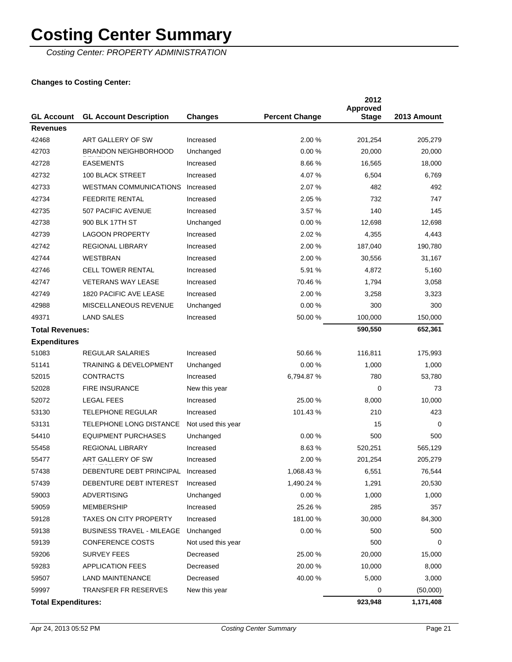Costing Center: PROPERTY ADMINISTRATION

| <b>GL Account</b>          | <b>GL Account Description</b>      | <b>Changes</b>     | <b>Percent Change</b> | 2012<br><b>Approved</b><br><b>Stage</b> | 2013 Amount |
|----------------------------|------------------------------------|--------------------|-----------------------|-----------------------------------------|-------------|
| <b>Revenues</b>            |                                    |                    |                       |                                         |             |
| 42468                      | ART GALLERY OF SW                  | Increased          | 2.00 %                | 201,254                                 | 205,279     |
| 42703                      | <b>BRANDON NEIGHBORHOOD</b>        | Unchanged          | 0.00%                 | 20,000                                  | 20,000      |
| 42728                      | <b>EASEMENTS</b>                   | Increased          | 8.66%                 | 16,565                                  | 18,000      |
| 42732                      | <b>100 BLACK STREET</b>            | Increased          | 4.07%                 | 6,504                                   | 6,769       |
| 42733                      | <b>WESTMAN COMMUNICATIONS</b>      | Increased          | 2.07%                 | 482                                     | 492         |
| 42734                      | <b>FEEDRITE RENTAL</b>             | Increased          | 2.05 %                | 732                                     | 747         |
| 42735                      | 507 PACIFIC AVENUE                 | Increased          | 3.57%                 | 140                                     | 145         |
| 42738                      | 900 BLK 17TH ST                    | Unchanged          | 0.00%                 | 12,698                                  | 12,698      |
| 42739                      | <b>LAGOON PROPERTY</b>             | Increased          | 2.02%                 | 4,355                                   | 4,443       |
| 42742                      | <b>REGIONAL LIBRARY</b>            | Increased          | 2.00 %                | 187,040                                 | 190,780     |
| 42744                      | <b>WESTBRAN</b>                    | Increased          | 2.00 %                | 30,556                                  | 31,167      |
| 42746                      | <b>CELL TOWER RENTAL</b>           | Increased          | 5.91 %                | 4,872                                   | 5,160       |
| 42747                      | <b>VETERANS WAY LEASE</b>          | Increased          | 70.46 %               | 1,794                                   | 3,058       |
| 42749                      | 1820 PACIFIC AVE LEASE             | Increased          | 2.00 %                | 3,258                                   | 3,323       |
| 42988                      | MISCELLANEOUS REVENUE              | Unchanged          | 0.00%                 | 300                                     | 300         |
| 49371                      | <b>LAND SALES</b>                  | Increased          | 50.00 %               | 100,000                                 | 150,000     |
| <b>Total Revenues:</b>     |                                    |                    |                       | 590,550                                 | 652,361     |
| <b>Expenditures</b>        |                                    |                    |                       |                                         |             |
| 51083                      | <b>REGULAR SALARIES</b>            | Increased          | 50.66 %               | 116,811                                 | 175,993     |
| 51141                      | <b>TRAINING &amp; DEVELOPMENT</b>  | Unchanged          | 0.00%                 | 1,000                                   | 1,000       |
| 52015                      | <b>CONTRACTS</b>                   | Increased          | 6,794.87%             | 780                                     | 53,780      |
| 52028                      | <b>FIRE INSURANCE</b>              | New this year      |                       | 0                                       | 73          |
| 52072                      | <b>LEGAL FEES</b>                  | Increased          | 25.00 %               | 8,000                                   | 10,000      |
| 53130                      | <b>TELEPHONE REGULAR</b>           | Increased          | 101.43 %              | 210                                     | 423         |
| 53131                      | TELEPHONE LONG DISTANCE            | Not used this year |                       | 15                                      | $\Omega$    |
| 54410                      | <b>EQUIPMENT PURCHASES</b>         | Unchanged          | 0.00%                 | 500                                     | 500         |
| 55458                      | <b>REGIONAL LIBRARY</b>            | Increased          | 8.63%                 | 520,251                                 | 565,129     |
| 55477                      | ART GALLERY OF SW                  | Increased          | 2.00 %                | 201,254                                 | 205,279     |
| 57438                      | DEBENTURE DEBT PRINCIPAL Increased |                    | 1,068.43%             | 6,551                                   | 76,544      |
| 57439                      | DEBENTURE DEBT INTEREST            | Increased          | 1,490.24 %            | 1,291                                   | 20,530      |
| 59003                      | <b>ADVERTISING</b>                 | Unchanged          | 0.00%                 | 1,000                                   | 1,000       |
| 59059                      | MEMBERSHIP                         | Increased          | 25.26 %               | 285                                     | 357         |
| 59128                      | <b>TAXES ON CITY PROPERTY</b>      | Increased          | 181.00 %              | 30,000                                  | 84,300      |
| 59138                      | <b>BUSINESS TRAVEL - MILEAGE</b>   | Unchanged          | 0.00%                 | 500                                     | 500         |
| 59139                      | <b>CONFERENCE COSTS</b>            | Not used this year |                       | 500                                     | 0           |
| 59206                      | <b>SURVEY FEES</b>                 | Decreased          | 25.00 %               | 20,000                                  | 15,000      |
| 59283                      | <b>APPLICATION FEES</b>            | Decreased          | 20.00 %               | 10,000                                  | 8,000       |
| 59507                      | <b>LAND MAINTENANCE</b>            | Decreased          | 40.00 %               | 5,000                                   | 3,000       |
| 59997                      | <b>TRANSFER FR RESERVES</b>        | New this year      |                       | 0                                       | (50,000)    |
| <b>Total Expenditures:</b> |                                    |                    |                       | 923,948                                 | 1,171,408   |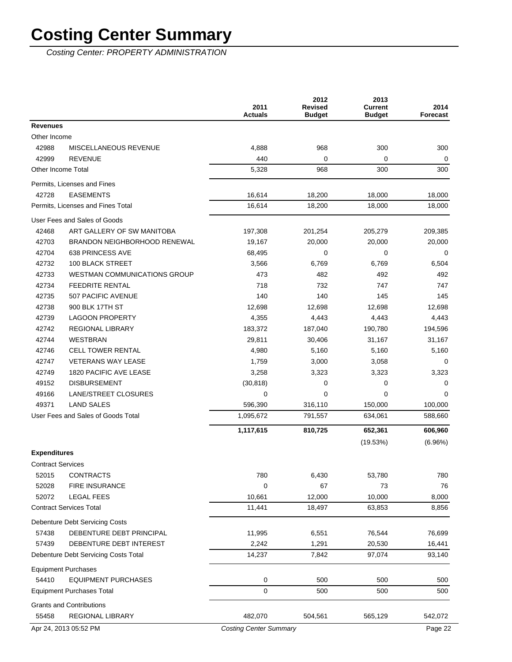Costing Center: PROPERTY ADMINISTRATION

|                          |                                      | 2011<br><b>Actuals</b>        | 2012<br><b>Revised</b><br><b>Budget</b> | 2013<br><b>Current</b><br><b>Budget</b> | 2014<br>Forecast |
|--------------------------|--------------------------------------|-------------------------------|-----------------------------------------|-----------------------------------------|------------------|
| <b>Revenues</b>          |                                      |                               |                                         |                                         |                  |
| Other Income             |                                      |                               |                                         |                                         |                  |
| 42988                    | MISCELLANEOUS REVENUE                | 4,888                         | 968                                     | 300                                     | 300              |
| 42999                    | <b>REVENUE</b>                       | 440                           | $\mathbf 0$                             | 0                                       | 0                |
| Other Income Total       |                                      | 5,328                         | 968                                     | 300                                     | 300              |
|                          | Permits, Licenses and Fines          |                               |                                         |                                         |                  |
| 42728                    | <b>EASEMENTS</b>                     | 16,614                        | 18,200                                  | 18,000                                  | 18,000           |
|                          | Permits, Licenses and Fines Total    | 16,614                        | 18,200                                  | 18,000                                  | 18,000           |
|                          | User Fees and Sales of Goods         |                               |                                         |                                         |                  |
| 42468                    | ART GALLERY OF SW MANITOBA           | 197,308                       | 201,254                                 | 205,279                                 | 209,385          |
| 42703                    | BRANDON NEIGHBORHOOD RENEWAL         | 19,167                        | 20,000                                  | 20,000                                  | 20,000           |
| 42704                    | 638 PRINCESS AVE                     | 68,495                        | $\Omega$                                | 0                                       | 0                |
| 42732                    | <b>100 BLACK STREET</b>              | 3,566                         | 6,769                                   | 6,769                                   | 6,504            |
| 42733                    | <b>WESTMAN COMMUNICATIONS GROUP</b>  | 473                           | 482                                     | 492                                     | 492              |
| 42734                    | <b>FEEDRITE RENTAL</b>               | 718                           | 732                                     | 747                                     | 747              |
| 42735                    | 507 PACIFIC AVENUE                   | 140                           | 140                                     | 145                                     | 145              |
| 42738                    | 900 BLK 17TH ST                      | 12,698                        | 12,698                                  | 12,698                                  | 12,698           |
| 42739                    | <b>LAGOON PROPERTY</b>               | 4,355                         | 4,443                                   | 4,443                                   | 4,443            |
| 42742                    | <b>REGIONAL LIBRARY</b>              | 183,372                       | 187,040                                 | 190,780                                 | 194,596          |
| 42744                    | <b>WESTBRAN</b>                      | 29,811                        | 30,406                                  | 31,167                                  | 31,167           |
| 42746                    | <b>CELL TOWER RENTAL</b>             | 4,980                         | 5,160                                   | 5,160                                   | 5,160            |
| 42747                    | <b>VETERANS WAY LEASE</b>            | 1,759                         | 3,000                                   | 3,058                                   | 0                |
| 42749                    | 1820 PACIFIC AVE LEASE               | 3,258                         | 3,323                                   | 3,323                                   | 3,323            |
| 49152                    | <b>DISBURSEMENT</b>                  | (30, 818)                     | 0                                       | 0                                       | 0                |
| 49166                    | LANE/STREET CLOSURES                 | 0                             | $\Omega$                                | 0                                       | $\Omega$         |
| 49371                    | <b>LAND SALES</b>                    | 596,390                       | 316,110                                 | 150,000                                 | 100,000          |
|                          | User Fees and Sales of Goods Total   | 1,095,672                     | 791,557                                 | 634,061                                 | 588,660          |
|                          |                                      | 1,117,615                     | 810,725                                 | 652,361                                 | 606,960          |
|                          |                                      |                               |                                         | (19.53%)                                | (6.96%)          |
| <b>Expenditures</b>      |                                      |                               |                                         |                                         |                  |
| <b>Contract Services</b> |                                      |                               |                                         |                                         |                  |
| 52015                    | <b>CONTRACTS</b>                     | 780                           | 6,430                                   | 53,780                                  | 780              |
| 52028                    | FIRE INSURANCE                       | $\mathbf 0$                   | 67                                      | 73                                      | 76               |
| 52072                    | <b>LEGAL FEES</b>                    | 10,661                        | 12,000                                  | 10,000                                  | 8,000            |
|                          | <b>Contract Services Total</b>       | 11,441                        | 18,497                                  | 63,853                                  | 8,856            |
|                          | Debenture Debt Servicing Costs       |                               |                                         |                                         |                  |
| 57438                    | DEBENTURE DEBT PRINCIPAL             | 11,995                        | 6,551                                   | 76,544                                  | 76,699           |
| 57439                    | DEBENTURE DEBT INTEREST              | 2,242                         | 1,291                                   | 20,530                                  | 16,441           |
|                          | Debenture Debt Servicing Costs Total | 14,237                        | 7,842                                   | 97,074                                  | 93,140           |
|                          |                                      |                               |                                         |                                         |                  |
|                          | <b>Equipment Purchases</b>           |                               |                                         |                                         |                  |
| 54410                    | <b>EQUIPMENT PURCHASES</b>           | 0                             | 500                                     | 500                                     | 500              |
|                          | <b>Equipment Purchases Total</b>     | $\mathbf 0$                   | 500                                     | 500                                     | 500              |
|                          | <b>Grants and Contributions</b>      |                               |                                         |                                         |                  |
| 55458                    | <b>REGIONAL LIBRARY</b>              | 482,070                       | 504,561                                 | 565,129                                 | 542,072          |
|                          | Apr 24, 2013 05:52 PM                | <b>Costing Center Summary</b> |                                         |                                         | Page 22          |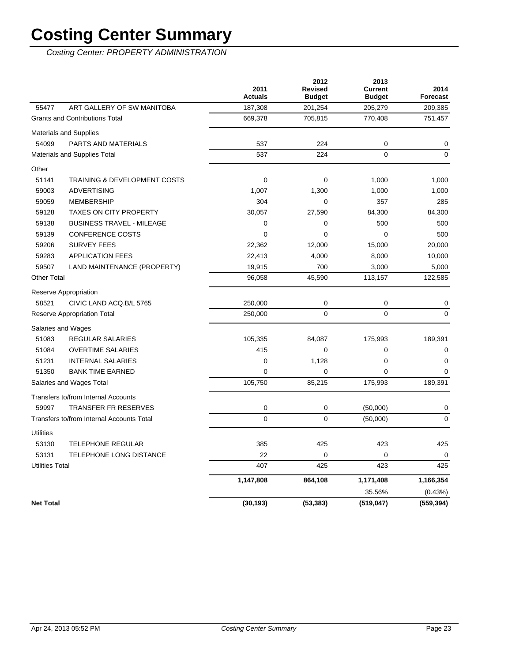Costing Center: PROPERTY ADMINISTRATION

|                        |                                           | 2011<br><b>Actuals</b> | 2012<br><b>Revised</b><br><b>Budget</b> | 2013<br><b>Current</b><br><b>Budget</b> | 2014<br><b>Forecast</b> |
|------------------------|-------------------------------------------|------------------------|-----------------------------------------|-----------------------------------------|-------------------------|
| 55477                  | ART GALLERY OF SW MANITOBA                | 187,308                | 201,254                                 | 205,279                                 | 209,385                 |
|                        | <b>Grants and Contributions Total</b>     | 669,378                | 705,815                                 | 770,408                                 | 751,457                 |
|                        | <b>Materials and Supplies</b>             |                        |                                         |                                         |                         |
| 54099                  | PARTS AND MATERIALS                       | 537                    | 224                                     | 0                                       | 0                       |
|                        | <b>Materials and Supplies Total</b>       | 537                    | 224                                     | $\mathbf 0$                             | $\mathbf 0$             |
| Other                  |                                           |                        |                                         |                                         |                         |
| 51141                  | <b>TRAINING &amp; DEVELOPMENT COSTS</b>   | $\mathbf 0$            | $\mathbf 0$                             | 1,000                                   | 1,000                   |
| 59003                  | <b>ADVERTISING</b>                        | 1,007                  | 1,300                                   | 1,000                                   | 1,000                   |
| 59059                  | <b>MEMBERSHIP</b>                         | 304                    | 0                                       | 357                                     | 285                     |
| 59128                  | TAXES ON CITY PROPERTY                    | 30,057                 | 27,590                                  | 84,300                                  | 84,300                  |
| 59138                  | <b>BUSINESS TRAVEL - MILEAGE</b>          | 0                      | 0                                       | 500                                     | 500                     |
| 59139                  | <b>CONFERENCE COSTS</b>                   | $\Omega$               | $\Omega$                                | $\Omega$                                | 500                     |
| 59206                  | <b>SURVEY FEES</b>                        | 22,362                 | 12,000                                  | 15,000                                  | 20,000                  |
| 59283                  | <b>APPLICATION FEES</b>                   | 22,413                 | 4,000                                   | 8,000                                   | 10,000                  |
| 59507                  | LAND MAINTENANCE (PROPERTY)               | 19,915                 | 700                                     | 3,000                                   | 5,000                   |
| <b>Other Total</b>     |                                           | 96,058                 | 45,590                                  | 113,157                                 | 122,585                 |
|                        | Reserve Appropriation                     |                        |                                         |                                         |                         |
| 58521                  | CIVIC LAND ACQ.B/L 5765                   | 250,000                | $\mathbf 0$                             | 0                                       | $\mathbf 0$             |
|                        | <b>Reserve Appropriation Total</b>        | 250,000                | $\Omega$                                | $\overline{0}$                          | $\mathbf 0$             |
|                        | Salaries and Wages                        |                        |                                         |                                         |                         |
| 51083                  | REGULAR SALARIES                          | 105,335                | 84,087                                  | 175,993                                 | 189,391                 |
| 51084                  | <b>OVERTIME SALARIES</b>                  | 415                    | 0                                       | 0                                       | 0                       |
| 51231                  | <b>INTERNAL SALARIES</b>                  | $\mathbf 0$            | 1,128                                   | 0                                       | $\mathbf 0$             |
| 51350                  | <b>BANK TIME EARNED</b>                   | 0                      | $\mathbf 0$                             | 0                                       | $\mathbf 0$             |
|                        | Salaries and Wages Total                  | 105,750                | 85,215                                  | 175,993                                 | 189,391                 |
|                        | Transfers to/from Internal Accounts       |                        |                                         |                                         |                         |
| 59997                  | <b>TRANSFER FR RESERVES</b>               | 0                      | 0                                       | (50,000)                                | 0                       |
|                        | Transfers to/from Internal Accounts Total | $\mathbf 0$            | $\mathbf 0$                             | (50,000)                                | $\mathbf 0$             |
| <b>Utilities</b>       |                                           |                        |                                         |                                         |                         |
| 53130                  | <b>TELEPHONE REGULAR</b>                  | 385                    | 425                                     | 423                                     | 425                     |
| 53131                  | <b>TELEPHONE LONG DISTANCE</b>            | 22                     | $\mathbf 0$                             | 0                                       | $\Omega$                |
| <b>Utilities Total</b> |                                           | 407                    | 425                                     | 423                                     | 425                     |
|                        |                                           | 1,147,808              | 864,108                                 | 1,171,408                               | 1,166,354               |
|                        |                                           |                        |                                         | 35.56%                                  | (0.43%)                 |
| <b>Net Total</b>       |                                           | (30, 193)              | (53, 383)                               | (519, 047)                              | (559, 394)              |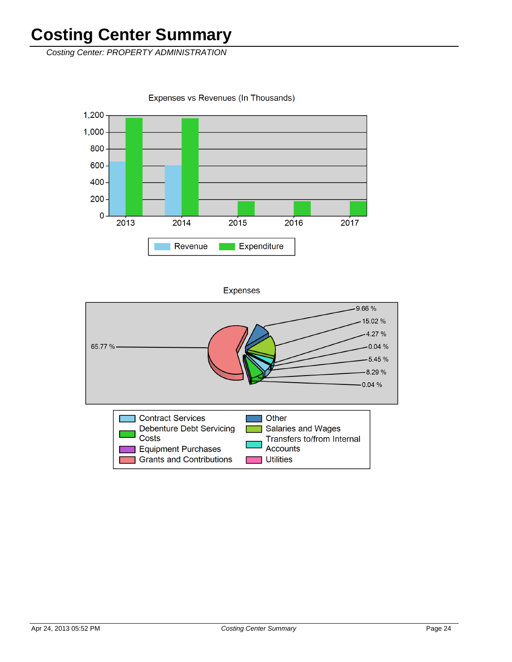Costing Center: PROPERTY ADMINISTRATION

Expenses vs Revenues (In Thousands)





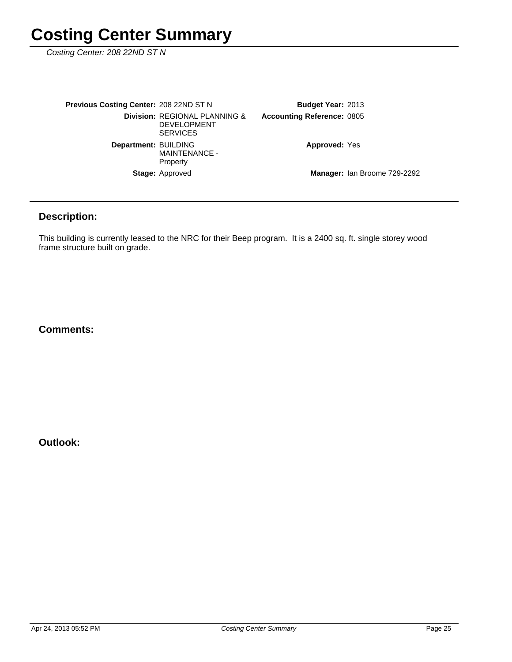Costing Center: 208 22ND ST N

| <b>Previous Costing Center: 208 22ND ST N</b> |                                                                        | <b>Budget Year: 2013</b>          |                              |
|-----------------------------------------------|------------------------------------------------------------------------|-----------------------------------|------------------------------|
|                                               | Division: REGIONAL PLANNING &<br><b>DEVELOPMENT</b><br><b>SERVICES</b> | <b>Accounting Reference: 0805</b> |                              |
| Department: BUILDING                          | <b>MAINTENANCE -</b><br>Property                                       | <b>Approved: Yes</b>              |                              |
|                                               | <b>Stage: Approved</b>                                                 |                                   | Manager: Ian Broome 729-2292 |

### **Description:**

This building is currently leased to the NRC for their Beep program. It is a 2400 sq. ft. single storey wood frame structure built on grade.

#### **Comments:**

**Outlook:**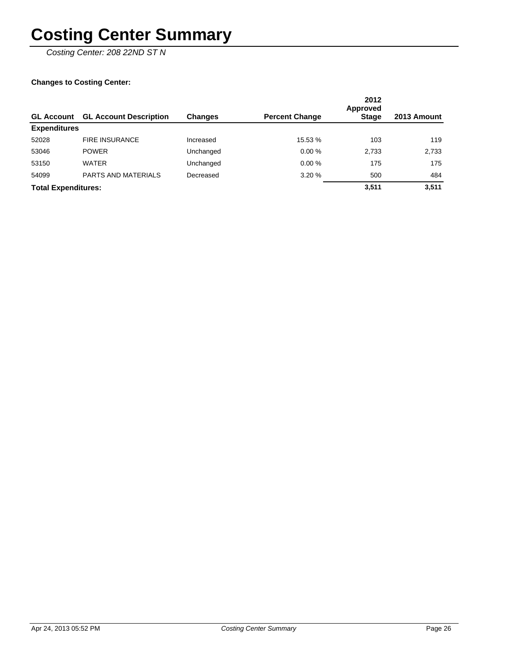Costing Center: 208 22ND ST N

| <b>GL Account</b>          | <b>GL Account Description</b> | <b>Changes</b> | <b>Percent Change</b> | 2012<br>Approved<br><b>Stage</b> | 2013 Amount |
|----------------------------|-------------------------------|----------------|-----------------------|----------------------------------|-------------|
| <b>Expenditures</b>        |                               |                |                       |                                  |             |
| 52028                      | <b>FIRE INSURANCE</b>         | Increased      | 15.53 %               | 103                              | 119         |
| 53046                      | <b>POWER</b>                  | Unchanged      | 0.00%                 | 2,733                            | 2,733       |
| 53150                      | <b>WATER</b>                  | Unchanged      | 0.00%                 | 175                              | 175         |
| 54099                      | PARTS AND MATERIALS           | Decreased      | 3.20%                 | 500                              | 484         |
| <b>Total Expenditures:</b> |                               |                |                       | 3.511                            | 3.511       |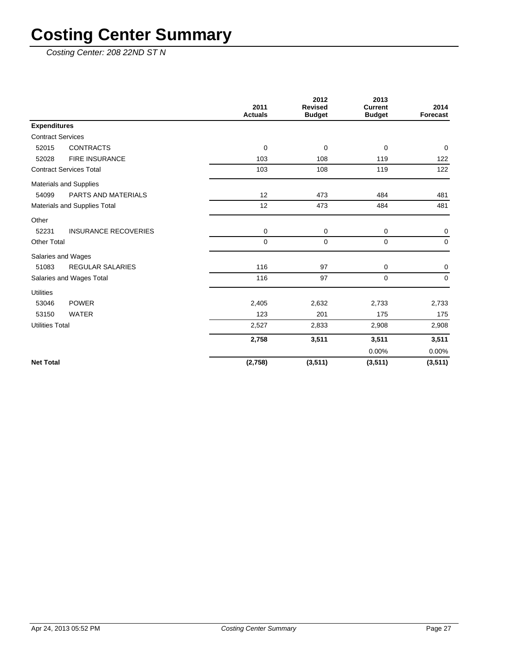Costing Center: 208 22ND ST N

|                                      | 2011<br><b>Actuals</b> | 2012<br><b>Revised</b><br><b>Budget</b> | 2013<br><b>Current</b><br><b>Budget</b> | 2014<br>Forecast |
|--------------------------------------|------------------------|-----------------------------------------|-----------------------------------------|------------------|
| <b>Expenditures</b>                  |                        |                                         |                                         |                  |
| <b>Contract Services</b>             |                        |                                         |                                         |                  |
| 52015<br><b>CONTRACTS</b>            | 0                      | 0                                       | 0                                       | $\mathbf 0$      |
| <b>FIRE INSURANCE</b><br>52028       | 103                    | 108                                     | 119                                     | 122              |
| <b>Contract Services Total</b>       | 103                    | 108                                     | 119                                     | 122              |
| Materials and Supplies               |                        |                                         |                                         |                  |
| PARTS AND MATERIALS<br>54099         | 12                     | 473                                     | 484                                     | 481              |
| Materials and Supplies Total         | 12                     | 473                                     | 484                                     | 481              |
| Other                                |                        |                                         |                                         |                  |
| 52231<br><b>INSURANCE RECOVERIES</b> | 0                      | 0                                       | 0                                       | 0                |
| <b>Other Total</b>                   | 0                      | $\mathbf 0$                             | 0                                       | $\mathbf 0$      |
| Salaries and Wages                   |                        |                                         |                                         |                  |
| 51083<br><b>REGULAR SALARIES</b>     | 116                    | 97                                      | 0                                       | 0                |
| Salaries and Wages Total             | 116                    | 97                                      | $\Omega$                                | $\Omega$         |
| <b>Utilities</b>                     |                        |                                         |                                         |                  |
| <b>POWER</b><br>53046                | 2,405                  | 2,632                                   | 2,733                                   | 2,733            |
| 53150<br><b>WATER</b>                | 123                    | 201                                     | 175                                     | 175              |
| <b>Utilities Total</b>               | 2,527                  | 2,833                                   | 2,908                                   | 2,908            |
|                                      | 2,758                  | 3,511                                   | 3,511                                   | 3,511            |
|                                      |                        |                                         | 0.00%                                   | 0.00%            |
| <b>Net Total</b>                     | (2,758)                | (3, 511)                                | (3, 511)                                | (3, 511)         |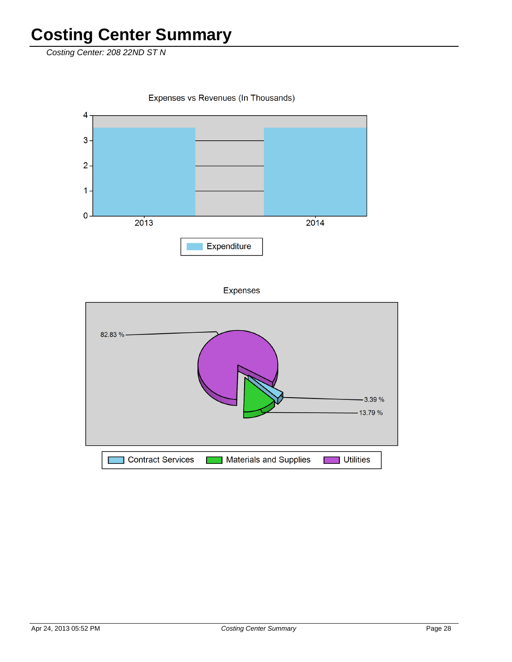Costing Center: 208 22ND ST N

Expenses vs Revenues (In Thousands)  $\overline{\mathbf{4}}$  $3 2 1 \pmb{\mathsf{O}}$ 2014  $2013$ Expenditure

Expenses

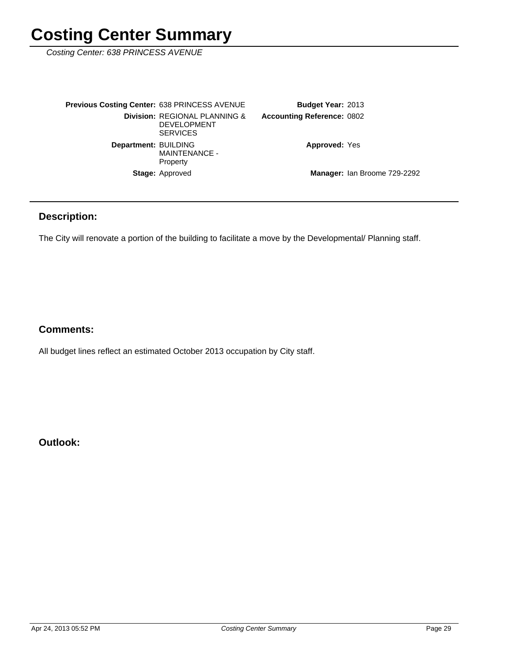Costing Center: 638 PRINCESS AVENUE

| <b>Previous Costing Center: 638 PRINCESS AVENUE</b> |                                                                        | <b>Budget Year: 2013</b>          |  |
|-----------------------------------------------------|------------------------------------------------------------------------|-----------------------------------|--|
|                                                     | Division: REGIONAL PLANNING &<br><b>DEVELOPMENT</b><br><b>SERVICES</b> | <b>Accounting Reference: 0802</b> |  |
| Department: BUILDING                                | <b>MAINTENANCE -</b><br>Property                                       | <b>Approved: Yes</b>              |  |
|                                                     | <b>Stage: Approved</b>                                                 | Manager: Ian Broome 729-2292      |  |

### **Description:**

The City will renovate a portion of the building to facilitate a move by the Developmental/ Planning staff.

### **Comments:**

All budget lines reflect an estimated October 2013 occupation by City staff.

**Outlook:**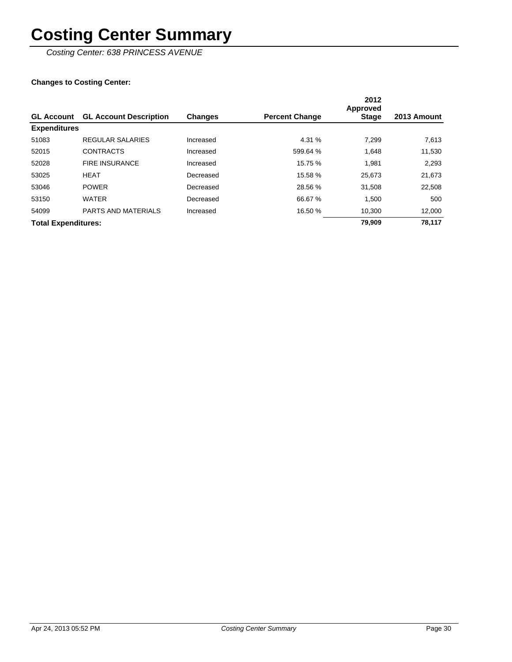Costing Center: 638 PRINCESS AVENUE

| <b>GL Account</b>          | <b>GL Account Description</b> | <b>Changes</b> | <b>Percent Change</b> | 2012<br>Approved<br>Stage | 2013 Amount |
|----------------------------|-------------------------------|----------------|-----------------------|---------------------------|-------------|
| <b>Expenditures</b>        |                               |                |                       |                           |             |
| 51083                      | <b>REGULAR SALARIES</b>       | Increased      | 4.31 %                | 7.299                     | 7,613       |
| 52015                      | <b>CONTRACTS</b>              | Increased      | 599.64 %              | 1,648                     | 11,530      |
| 52028                      | <b>FIRE INSURANCE</b>         | Increased      | 15.75 %               | 1,981                     | 2,293       |
| 53025                      | <b>HEAT</b>                   | Decreased      | 15.58 %               | 25,673                    | 21,673      |
| 53046                      | <b>POWER</b>                  | Decreased      | 28.56 %               | 31,508                    | 22,508      |
| 53150                      | <b>WATER</b>                  | Decreased      | 66.67 %               | 1.500                     | 500         |
| 54099                      | <b>PARTS AND MATERIALS</b>    | Increased      | 16.50 %               | 10.300                    | 12,000      |
| <b>Total Expenditures:</b> |                               |                |                       | 79.909                    | 78.117      |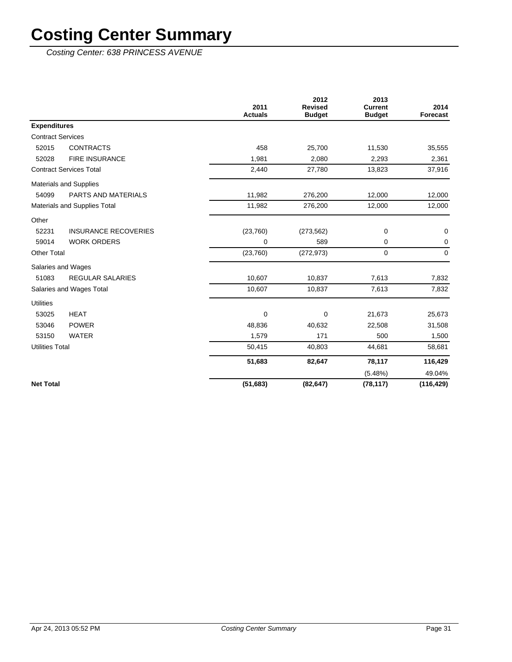Costing Center: 638 PRINCESS AVENUE

|                          |                                | 2011           | 2012<br><b>Revised</b> | 2013<br><b>Current</b> | 2014        |
|--------------------------|--------------------------------|----------------|------------------------|------------------------|-------------|
|                          |                                | <b>Actuals</b> | <b>Budget</b>          | <b>Budget</b>          | Forecast    |
| <b>Expenditures</b>      |                                |                |                        |                        |             |
| <b>Contract Services</b> |                                |                |                        |                        |             |
| 52015                    | <b>CONTRACTS</b>               | 458            | 25,700                 | 11,530                 | 35,555      |
| 52028                    | <b>FIRE INSURANCE</b>          | 1,981          | 2,080                  | 2,293                  | 2,361       |
|                          | <b>Contract Services Total</b> | 2,440          | 27,780                 | 13,823                 | 37,916      |
|                          | <b>Materials and Supplies</b>  |                |                        |                        |             |
| 54099                    | <b>PARTS AND MATERIALS</b>     | 11,982         | 276,200                | 12,000                 | 12,000      |
|                          | Materials and Supplies Total   | 11,982         | 276,200                | 12,000                 | 12,000      |
| Other                    |                                |                |                        |                        |             |
| 52231                    | <b>INSURANCE RECOVERIES</b>    | (23,760)       | (273, 562)             | 0                      | 0           |
| 59014                    | <b>WORK ORDERS</b>             | 0              | 589                    | 0                      | 0           |
| <b>Other Total</b>       |                                | (23, 760)      | (272, 973)             | 0                      | $\mathbf 0$ |
| Salaries and Wages       |                                |                |                        |                        |             |
| 51083                    | <b>REGULAR SALARIES</b>        | 10,607         | 10,837                 | 7,613                  | 7,832       |
|                          | Salaries and Wages Total       | 10,607         | 10,837                 | 7,613                  | 7,832       |
| <b>Utilities</b>         |                                |                |                        |                        |             |
| 53025                    | <b>HEAT</b>                    | 0              | $\mathbf 0$            | 21,673                 | 25,673      |
| 53046                    | <b>POWER</b>                   | 48,836         | 40,632                 | 22,508                 | 31,508      |
| 53150                    | <b>WATER</b>                   | 1,579          | 171                    | 500                    | 1,500       |
| <b>Utilities Total</b>   |                                | 50,415         | 40,803                 | 44,681                 | 58,681      |
|                          |                                | 51,683         | 82,647                 | 78,117                 | 116,429     |
|                          |                                |                |                        | $(5.48\%)$             | 49.04%      |
| <b>Net Total</b>         |                                | (51, 683)      | (82, 647)              | (78, 117)              | (116, 429)  |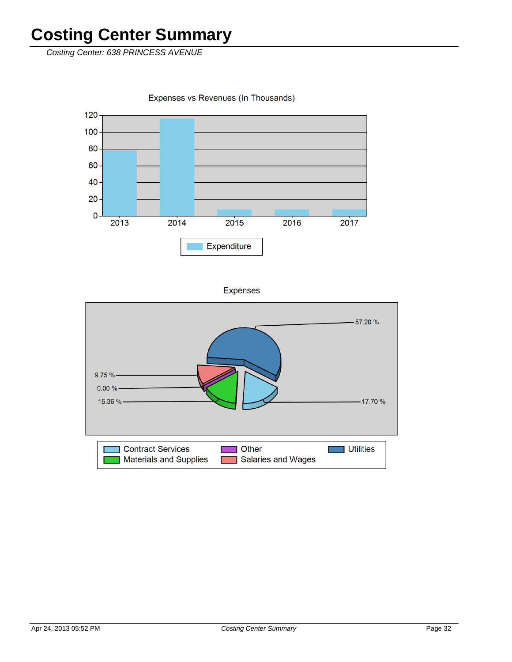Costing Center: 638 PRINCESS AVENUE

Expenses vs Revenues (In Thousands)



**Expenses** 

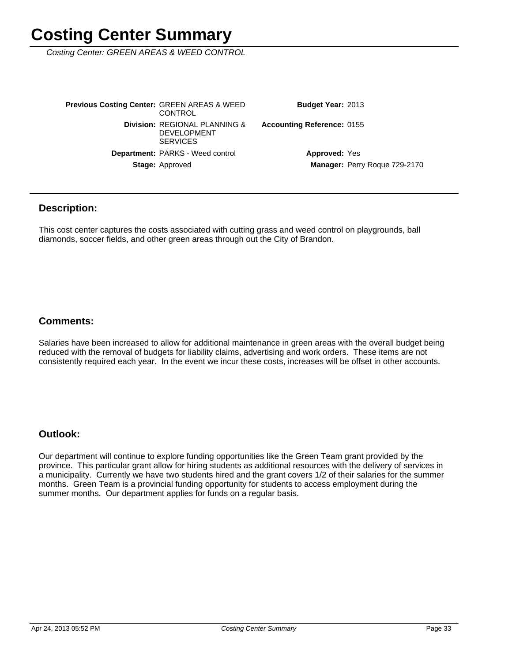Costing Center: GREEN AREAS & WEED CONTROL

Manager: Perry Roque 729-2170 **Approved: Yes Accounting Reference: 0155** Budget Year: 2013 Stage: Approved Department: PARKS - Weed control **Division: REGIONAL PLANNING &** DEVELOPMENT **SERVICES Previous Costing Center: GREEN AREAS & WEED CONTROL** 

#### **Description:**

This cost center captures the costs associated with cutting grass and weed control on playgrounds, ball diamonds, soccer fields, and other green areas through out the City of Brandon.

#### **Comments:**

Salaries have been increased to allow for additional maintenance in green areas with the overall budget being reduced with the removal of budgets for liability claims, advertising and work orders. These items are not consistently required each year. In the event we incur these costs, increases will be offset in other accounts.

#### **Outlook:**

Our department will continue to explore funding opportunities like the Green Team grant provided by the province. This particular grant allow for hiring students as additional resources with the delivery of services in a municipality. Currently we have two students hired and the grant covers 1/2 of their salaries for the summer months. Green Team is a provincial funding opportunity for students to access employment during the summer months. Our department applies for funds on a regular basis.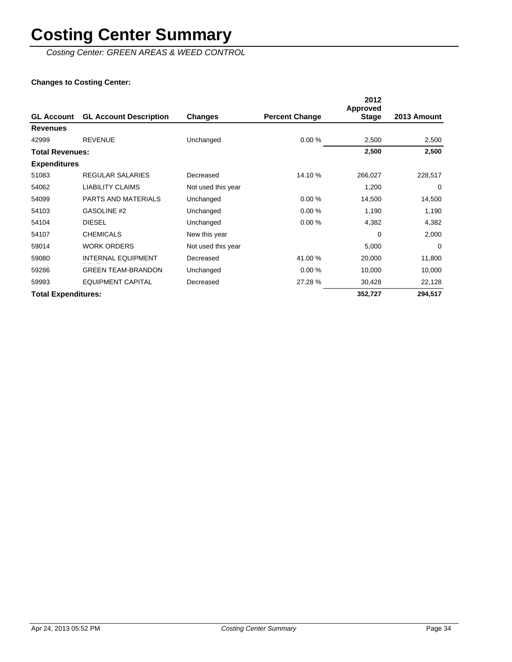Costing Center: GREEN AREAS & WEED CONTROL

| <b>GL Account</b>          | <b>GL Account Description</b> | Changes            | <b>Percent Change</b> | 2012<br><b>Approved</b><br><b>Stage</b> | 2013 Amount |
|----------------------------|-------------------------------|--------------------|-----------------------|-----------------------------------------|-------------|
| <b>Revenues</b>            |                               |                    |                       |                                         |             |
| 42999                      | <b>REVENUE</b>                | Unchanged          | 0.00%                 | 2,500                                   | 2,500       |
| <b>Total Revenues:</b>     |                               |                    |                       | 2,500                                   | 2,500       |
| <b>Expenditures</b>        |                               |                    |                       |                                         |             |
| 51083                      | REGULAR SALARIES              | Decreased          | 14.10 %               | 266,027                                 | 228,517     |
| 54062                      | <b>LIABILITY CLAIMS</b>       | Not used this year |                       | 1,200                                   | $\mathbf 0$ |
| 54099                      | <b>PARTS AND MATERIALS</b>    | Unchanged          | 0.00%                 | 14,500                                  | 14,500      |
| 54103                      | GASOLINE #2                   | Unchanged          | 0.00%                 | 1,190                                   | 1,190       |
| 54104                      | <b>DIESEL</b>                 | Unchanged          | 0.00%                 | 4,382                                   | 4,382       |
| 54107                      | <b>CHEMICALS</b>              | New this year      |                       | 0                                       | 2,000       |
| 59014                      | <b>WORK ORDERS</b>            | Not used this year |                       | 5,000                                   | 0           |
| 59080                      | <b>INTERNAL EQUIPMENT</b>     | Decreased          | 41.00 %               | 20,000                                  | 11,800      |
| 59286                      | <b>GREEN TEAM-BRANDON</b>     | Unchanged          | 0.00%                 | 10,000                                  | 10,000      |
| 59993                      | <b>EQUIPMENT CAPITAL</b>      | Decreased          | 27.28 %               | 30,428                                  | 22,128      |
| <b>Total Expenditures:</b> |                               |                    |                       | 352,727                                 | 294,517     |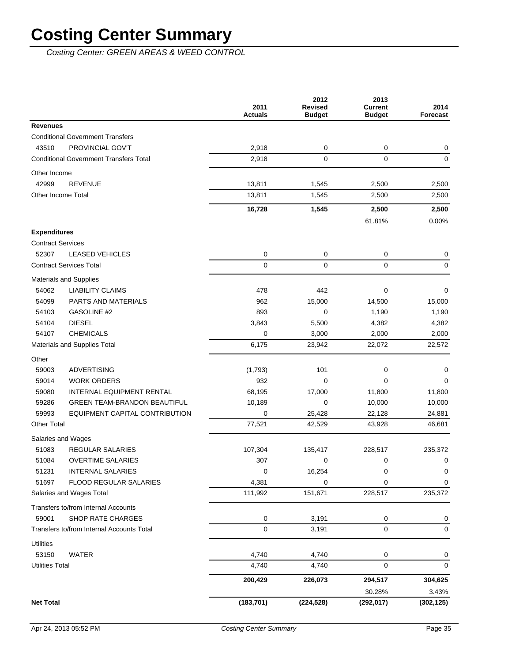Costing Center: GREEN AREAS & WEED CONTROL

|                                               | 2011<br><b>Actuals</b> | 2012<br><b>Revised</b><br><b>Budget</b> | 2013<br><b>Current</b><br><b>Budget</b> | 2014<br><b>Forecast</b> |
|-----------------------------------------------|------------------------|-----------------------------------------|-----------------------------------------|-------------------------|
| <b>Revenues</b>                               |                        |                                         |                                         |                         |
| <b>Conditional Government Transfers</b>       |                        |                                         |                                         |                         |
| PROVINCIAL GOV'T<br>43510                     | 2,918                  | 0                                       | 0                                       | 0                       |
| <b>Conditional Government Transfers Total</b> | 2,918                  | $\mathbf 0$                             | 0                                       | $\mathbf 0$             |
| Other Income                                  |                        |                                         |                                         |                         |
| 42999<br><b>REVENUE</b>                       | 13,811                 | 1,545                                   | 2,500                                   | 2,500                   |
| Other Income Total                            | 13,811                 | 1,545                                   | 2,500                                   | 2,500                   |
|                                               | 16,728                 | 1,545                                   | 2,500                                   | 2,500                   |
|                                               |                        |                                         | 61.81%                                  | 0.00%                   |
| <b>Expenditures</b>                           |                        |                                         |                                         |                         |
| <b>Contract Services</b>                      |                        |                                         |                                         |                         |
| 52307<br><b>LEASED VEHICLES</b>               | 0                      | 0                                       | 0                                       | 0                       |
| <b>Contract Services Total</b>                | $\mathbf 0$            | $\mathbf 0$                             | $\Omega$                                | 0                       |
| <b>Materials and Supplies</b>                 |                        |                                         |                                         |                         |
| 54062<br><b>LIABILITY CLAIMS</b>              | 478                    | 442                                     | 0                                       | 0                       |
| 54099<br>PARTS AND MATERIALS                  | 962                    | 15,000                                  | 14,500                                  | 15,000                  |
| 54103<br>GASOLINE #2                          | 893                    | 0                                       | 1,190                                   | 1,190                   |
| <b>DIESEL</b><br>54104                        | 3,843                  | 5,500                                   | 4,382                                   | 4,382                   |
| <b>CHEMICALS</b><br>54107                     | 0                      | 3,000                                   | 2,000                                   | 2,000                   |
| Materials and Supplies Total                  | 6,175                  | 23,942                                  | 22,072                                  | 22,572                  |
| Other                                         |                        |                                         |                                         |                         |
| <b>ADVERTISING</b><br>59003                   | (1,793)                | 101                                     | 0                                       | 0                       |
| 59014<br><b>WORK ORDERS</b>                   | 932                    | 0                                       | 0                                       | 0                       |
| 59080<br>INTERNAL EQUIPMENT RENTAL            | 68,195                 | 17,000                                  | 11,800                                  | 11,800                  |
| 59286<br><b>GREEN TEAM-BRANDON BEAUTIFUL</b>  | 10,189                 | 0                                       | 10,000                                  | 10,000                  |
| 59993<br>EQUIPMENT CAPITAL CONTRIBUTION       | 0                      | 25,428                                  | 22,128                                  | 24,881                  |
| <b>Other Total</b>                            | 77,521                 | 42,529                                  | 43,928                                  | 46,681                  |
| Salaries and Wages                            |                        |                                         |                                         |                         |
| 51083<br>REGULAR SALARIES                     | 107,304                | 135,417                                 | 228,517                                 | 235,372                 |
| 51084<br><b>OVERTIME SALARIES</b>             | 307                    | 0                                       | 0                                       | 0                       |
| <b>INTERNAL SALARIES</b><br>51231             | 0                      | 16,254                                  | 0                                       | 0                       |
| 51697<br>FLOOD REGULAR SALARIES               | 4,381                  | 0                                       | 0                                       | 0                       |
| Salaries and Wages Total                      | 111,992                | 151,671                                 | 228,517                                 | 235,372                 |
| Transfers to/from Internal Accounts           |                        |                                         |                                         |                         |
| 59001<br><b>SHOP RATE CHARGES</b>             | 0                      | 3,191                                   | 0                                       | 0                       |
| Transfers to/from Internal Accounts Total     | 0                      | 3,191                                   | 0                                       | $\mathbf 0$             |
| <b>Utilities</b>                              |                        |                                         |                                         |                         |
| 53150<br><b>WATER</b>                         | 4,740                  | 4,740                                   | 0                                       | 0                       |
| <b>Utilities Total</b>                        | 4,740                  | 4,740                                   | 0                                       | $\mathbf 0$             |
|                                               | 200,429                | 226,073                                 | 294,517                                 | 304,625                 |
|                                               |                        |                                         | 30.28%                                  | 3.43%                   |
| <b>Net Total</b>                              | (183, 701)             | (224, 528)                              | (292, 017)                              | (302, 125)              |